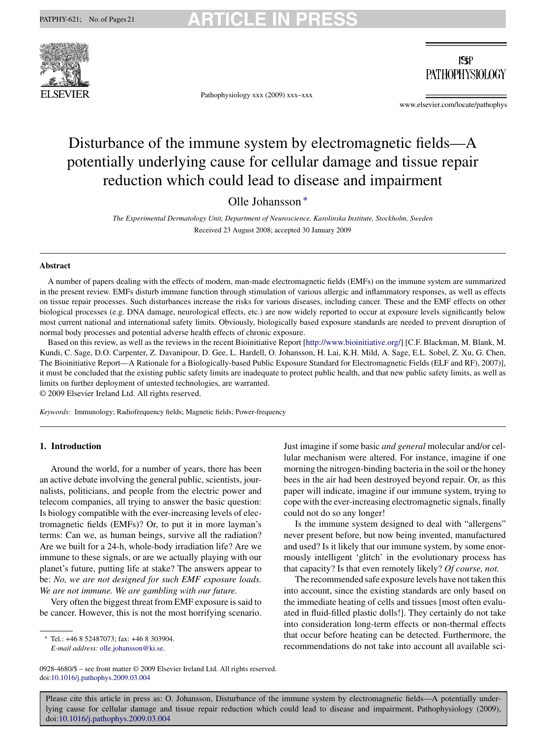

 $|S|$ **PATHOPHYSIOLOGY** 

Pathophysiology xxx (2009) xxx–xxx

www.elsevier.com/locate/pathophys

# Disturbance of the immune system by electromagnetic fields—A potentially underlying cause for cellular damage and tissue repair reduction which could lead to disease and impairment

Olle Johansson ∗

*The Experimental Dermatology Unit, Department of Neuroscience, Karolinska Institute, Stockholm, Sweden* Received 23 August 2008; accepted 30 January 2009

### **Abstract**

A number of papers dealing with the effects of modern, man-made electromagnetic fields (EMFs) on the immune system are summarized in the present review. EMFs disturb immune function through stimulation of various allergic and inflammatory responses, as well as effects on tissue repair processes. Such disturbances increase the risks for various diseases, including cancer. These and the EMF effects on other biological processes (e.g. DNA damage, neurological effects, etc.) are now widely reported to occur at exposure levels significantly below most current national and international safety limits. Obviously, biologically based exposure standards are needed to prevent disruption of normal body processes and potential adverse health effects of chronic exposure.

Based on this review, as well as the reviews in the recent Bioinitiative Report [\[http://www.bioinitiative.org/](http://www.bioinitiative.org/)] [C.F. Blackman, M. Blank, M. Kundi, C. Sage, D.O. Carpenter, Z. Davanipour, D. Gee, L. Hardell, O. Johansson, H. Lai, K.H. Mild, A. Sage, E.L. Sobel, Z. Xu, G. Chen, The Bioinitiative Report—A Rationale for a Biologically-based Public Exposure Standard for Electromagnetic Fields (ELF and RF), 2007)], it must be concluded that the existing public safety limits are inadequate to protect public health, and that new public safety limits, as well as limits on further deployment of untested technologies, are warranted.

© 2009 Elsevier Ireland Ltd. All rights reserved.

*Keywords:* Immunology; Radiofrequency fields; Magnetic fields; Power-frequency

### **1. Introduction**

Around the world, for a number of years, there has been an active debate involving the general public, scientists, journalists, politicians, and people from the electric power and telecom companies, all trying to answer the basic question: Is biology compatible with the ever-increasing levels of electromagnetic fields (EMFs)? Or, to put it in more layman's terms: Can we, as human beings, survive all the radiation? Are we built for a 24-h, whole-body irradiation life? Are we immune to these signals, or are we actually playing with our planet's future, putting life at stake? The answers appear to be: *No, we are not designed for such EMF exposure loads. We are not immune. We are gambling with our future.*

Very often the biggest threat from EMF exposure is said to be cancer. However, this is not the most horrifying scenario.

*E-mail address:* [olle.johansson@ki.se.](mailto:olle.johansson@ki.se)

Just imagine if some basic *and general* molecular and/or cellular mechanism were altered. For instance, imagine if one morning the nitrogen-binding bacteria in the soil or the honey bees in the air had been destroyed beyond repair. Or, as this paper will indicate, imagine if our immune system, trying to cope with the ever-increasing electromagnetic signals, finally could not do so any longer!

Is the immune system designed to deal with "allergens" never present before, but now being invented, manufactured and used? Is it likely that our immune system, by some enormously intelligent 'glitch' in the evolutionary process has that capacity? Is that even remotely likely? *Of course, not.*

The recommended safe exposure levels have not taken this into account, since the existing standards are only based on the immediate heating of cells and tissues [most often evaluated in fluid-filled plastic dolls!]. They certainly do not take into consideration long-term effects or non-thermal effects that occur before heating can be detected. Furthermore, the recommendations do not take into account all available sci-

<sup>∗</sup> Tel.: +46 8 52487073; fax: +46 8 303904.

<sup>0928-4680/\$ –</sup> see front matter © 2009 Elsevier Ireland Ltd. All rights reserved. doi[:10.1016/j.pathophys.2009.03.004](dx.doi.org/10.1016/j.pathophys.2009.03.004)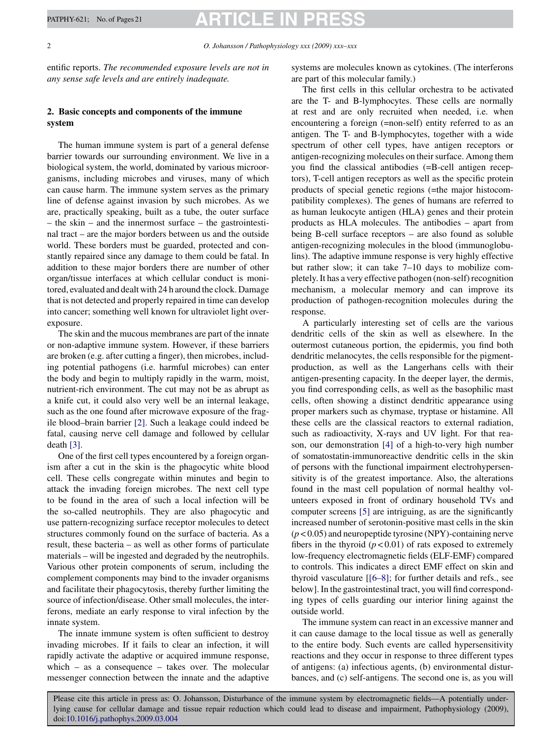entific reports. *The recommended exposure levels are not in any sense safe levels and are entirely inadequate.*

## **2. Basic concepts and components of the immune system**

The human immune system is part of a general defense barrier towards our surrounding environment. We live in a biological system, the world, dominated by various microorganisms, including microbes and viruses, many of which can cause harm. The immune system serves as the primary line of defense against invasion by such microbes. As we are, practically speaking, built as a tube, the outer surface – the skin – and the innermost surface – the gastrointestinal tract – are the major borders between us and the outside world. These borders must be guarded, protected and constantly repaired since any damage to them could be fatal. In addition to these major borders there are number of other organ/tissue interfaces at which cellular conduct is monitored, evaluated and dealt with 24 h around the clock. Damage that is not detected and properly repaired in time can develop into cancer; something well known for ultraviolet light overexposure.

The skin and the mucous membranes are part of the innate or non-adaptive immune system. However, if these barriers are broken (e.g. after cutting a finger), then microbes, including potential pathogens (i.e. harmful microbes) can enter the body and begin to multiply rapidly in the warm, moist, nutrient-rich environment. The cut may not be as abrupt as a knife cut, it could also very well be an internal leakage, such as the one found after microwave exposure of the fragile blood–brain barrier [\[2\].](#page-18-0) Such a leakage could indeed be fatal, causing nerve cell damage and followed by cellular death [\[3\].](#page-18-0)

One of the first cell types encountered by a foreign organism after a cut in the skin is the phagocytic white blood cell. These cells congregate within minutes and begin to attack the invading foreign microbes. The next cell type to be found in the area of such a local infection will be the so-called neutrophils. They are also phagocytic and use pattern-recognizing surface receptor molecules to detect structures commonly found on the surface of bacteria. As a result, these bacteria – as well as other forms of particulate materials – will be ingested and degraded by the neutrophils. Various other protein components of serum, including the complement components may bind to the invader organisms and facilitate their phagocytosis, thereby further limiting the source of infection/disease. Other small molecules, the interferons, mediate an early response to viral infection by the innate system.

The innate immune system is often sufficient to destroy invading microbes. If it fails to clear an infection, it will rapidly activate the adaptive or acquired immune response, which – as a consequence – takes over. The molecular messenger connection between the innate and the adaptive

systems are molecules known as cytokines. (The interferons are part of this molecular family.)

The first cells in this cellular orchestra to be activated are the T- and B-lymphocytes. These cells are normally at rest and are only recruited when needed, i.e. when encountering a foreign (=non-self) entity referred to as an antigen. The T- and B-lymphocytes, together with a wide spectrum of other cell types, have antigen receptors or antigen-recognizing molecules on their surface. Among them you find the classical antibodies (=B-cell antigen receptors), T-cell antigen receptors as well as the specific protein products of special genetic regions (=the major histocompatibility complexes). The genes of humans are referred to as human leukocyte antigen (HLA) genes and their protein products as HLA molecules. The antibodies – apart from being B-cell surface receptors – are also found as soluble antigen-recognizing molecules in the blood (immunoglobulins). The adaptive immune response is very highly effective but rather slow; it can take 7–10 days to mobilize completely. It has a very effective pathogen (non-self) recognition mechanism, a molecular memory and can improve its production of pathogen-recognition molecules during the response.

A particularly interesting set of cells are the various dendritic cells of the skin as well as elsewhere. In the outermost cutaneous portion, the epidermis, you find both dendritic melanocytes, the cells responsible for the pigmentproduction, as well as the Langerhans cells with their antigen-presenting capacity. In the deeper layer, the dermis, you find corresponding cells, as well as the basophilic mast cells, often showing a distinct dendritic appearance using proper markers such as chymase, tryptase or histamine. All these cells are the classical reactors to external radiation, such as radioactivity, X-rays and UV light. For that reason, our demonstration [\[4\]](#page-18-0) of a high-to-very high number of somatostatin-immunoreactive dendritic cells in the skin of persons with the functional impairment electrohypersensitivity is of the greatest importance. Also, the alterations found in the mast cell population of normal healthy volunteers exposed in front of ordinary household TVs and computer screens [\[5\]](#page-18-0) are intriguing, as are the significantly increased number of serotonin-positive mast cells in the skin (*p* < 0.05) and neuropeptide tyrosine (NPY)-containing nerve fibers in the thyroid  $(p<0.01)$  of rats exposed to extremely low-frequency electromagnetic fields (ELF-EMF) compared to controls. This indicates a direct EMF effect on skin and thyroid vasculature [\[\[6–8\];](#page-18-0) for further details and refs., see below]. In the gastrointestinal tract, you will find corresponding types of cells guarding our interior lining against the outside world.

The immune system can react in an excessive manner and it can cause damage to the local tissue as well as generally to the entire body. Such events are called hypersensitivity reactions and they occur in response to three different types of antigens: (a) infectious agents, (b) environmental disturbances, and (c) self-antigens. The second one is, as you will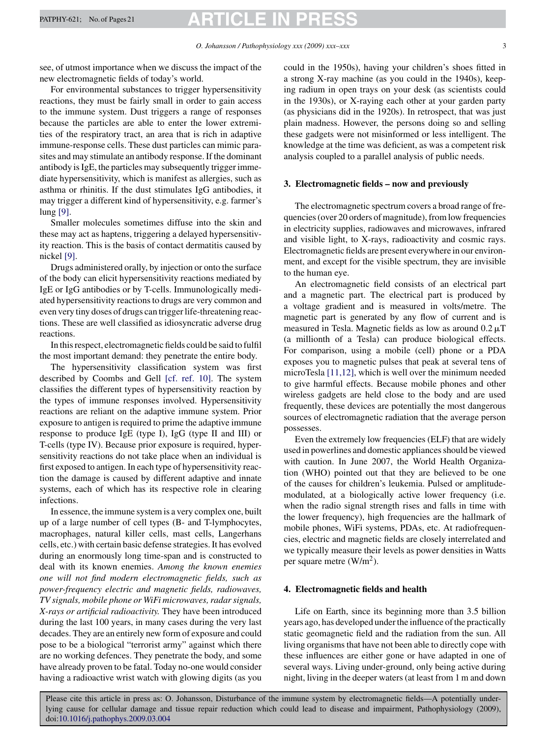see, of utmost importance when we discuss the impact of the new electromagnetic fields of today's world.

For environmental substances to trigger hypersensitivity reactions, they must be fairly small in order to gain access to the immune system. Dust triggers a range of responses because the particles are able to enter the lower extremities of the respiratory tract, an area that is rich in adaptive immune-response cells. These dust particles can mimic parasites and may stimulate an antibody response. If the dominant antibody is IgE, the particles may subsequently trigger immediate hypersensitivity, which is manifest as allergies, such as asthma or rhinitis. If the dust stimulates IgG antibodies, it may trigger a different kind of hypersensitivity, e.g. farmer's lung [\[9\].](#page-18-0)

Smaller molecules sometimes diffuse into the skin and these may act as haptens, triggering a delayed hypersensitivity reaction. This is the basis of contact dermatitis caused by nickel [\[9\].](#page-18-0)

Drugs administered orally, by injection or onto the surface of the body can elicit hypersensitivity reactions mediated by IgE or IgG antibodies or by T-cells. Immunologically mediated hypersensitivity reactions to drugs are very common and even very tiny doses of drugs can trigger life-threatening reactions. These are well classified as idiosyncratic adverse drug reactions.

In this respect, electromagnetic fields could be said to fulfil the most important demand: they penetrate the entire body.

The hypersensitivity classification system was first described by Coombs and Gell [\[cf. ref. 10\].](#page-18-0) The system classifies the different types of hypersensitivity reaction by the types of immune responses involved. Hypersensitivity reactions are reliant on the adaptive immune system. Prior exposure to antigen is required to prime the adaptive immune response to produce IgE (type I), IgG (type II and III) or T-cells (type IV). Because prior exposure is required, hypersensitivity reactions do not take place when an individual is first exposed to antigen. In each type of hypersensitivity reaction the damage is caused by different adaptive and innate systems, each of which has its respective role in clearing infections.

In essence, the immune system is a very complex one, built up of a large number of cell types (B- and T-lymphocytes, macrophages, natural killer cells, mast cells, Langerhans cells, etc.) with certain basic defense strategies. It has evolved during an enormously long time-span and is constructed to deal with its known enemies. *Among the known enemies one will not find modern electromagnetic fields, such as power-frequency electric and magnetic fields, radiowaves, TV signals, mobile phone or WiFi microwaves, radar signals, X-rays or artificial radioactivity.* They have been introduced during the last 100 years, in many cases during the very last decades. They are an entirely new form of exposure and could pose to be a biological "terrorist army" against which there are no working defences. They penetrate the body, and some have already proven to be fatal. Today no-one would consider having a radioactive wrist watch with glowing digits (as you

could in the 1950s), having your children's shoes fitted in a strong X-ray machine (as you could in the 1940s), keeping radium in open trays on your desk (as scientists could in the 1930s), or X-raying each other at your garden party (as physicians did in the 1920s). In retrospect, that was just plain madness. However, the persons doing so and selling these gadgets were not misinformed or less intelligent. The knowledge at the time was deficient, as was a competent risk analysis coupled to a parallel analysis of public needs.

### **3. Electromagnetic fields – now and previously**

The electromagnetic spectrum covers a broad range of frequencies (over 20 orders of magnitude), from low frequencies in electricity supplies, radiowaves and microwaves, infrared and visible light, to X-rays, radioactivity and cosmic rays. Electromagnetic fields are present everywhere in our environment, and except for the visible spectrum, they are invisible to the human eye.

An electromagnetic field consists of an electrical part and a magnetic part. The electrical part is produced by a voltage gradient and is measured in volts/metre. The magnetic part is generated by any flow of current and is measured in Tesla. Magnetic fields as low as around 0.2  $\mu$ T (a millionth of a Tesla) can produce biological effects. For comparison, using a mobile (cell) phone or a PDA exposes you to magnetic pulses that peak at several tens of microTesla [\[11,12\], w](#page-18-0)hich is well over the minimum needed to give harmful effects. Because mobile phones and other wireless gadgets are held close to the body and are used frequently, these devices are potentially the most dangerous sources of electromagnetic radiation that the average person possesses.

Even the extremely low frequencies (ELF) that are widely used in powerlines and domestic appliances should be viewed with caution. In June 2007, the World Health Organization (WHO) pointed out that they are believed to be one of the causes for children's leukemia. Pulsed or amplitudemodulated, at a biologically active lower frequency (i.e. when the radio signal strength rises and falls in time with the lower frequency), high frequencies are the hallmark of mobile phones, WiFi systems, PDAs, etc. At radiofrequencies, electric and magnetic fields are closely interrelated and we typically measure their levels as power densities in Watts per square metre  $(W/m<sup>2</sup>)$ .

### **4. Electromagnetic fields and health**

Life on Earth, since its beginning more than 3.5 billion years ago, has developed under the influence of the practically static geomagnetic field and the radiation from the sun. All living organisms that have not been able to directly cope with these influences are either gone or have adapted in one of several ways. Living under-ground, only being active during night, living in the deeper waters (at least from 1 m and down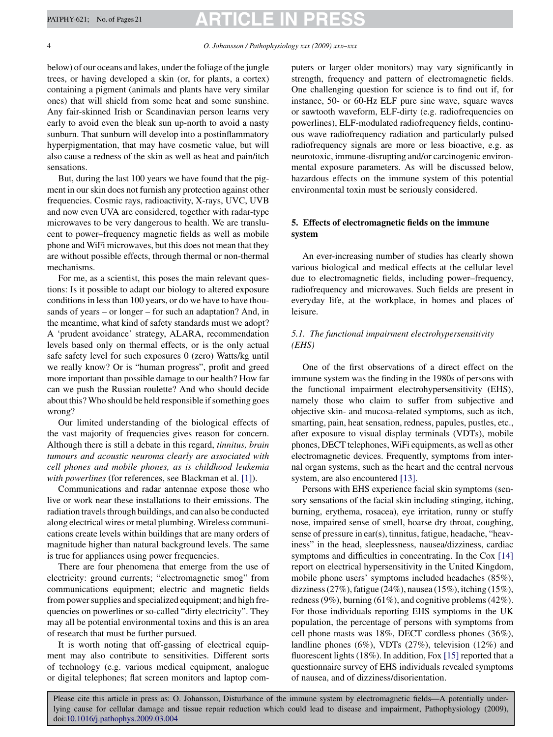below) of our oceans and lakes, under the foliage of the jungle trees, or having developed a skin (or, for plants, a cortex) containing a pigment (animals and plants have very similar ones) that will shield from some heat and some sunshine. Any fair-skinned Irish or Scandinavian person learns very early to avoid even the bleak sun up-north to avoid a nasty sunburn. That sunburn will develop into a postinflammatory hyperpigmentation, that may have cosmetic value, but will also cause a redness of the skin as well as heat and pain/itch sensations.

But, during the last 100 years we have found that the pigment in our skin does not furnish any protection against other frequencies. Cosmic rays, radioactivity, X-rays, UVC, UVB and now even UVA are considered, together with radar-type microwaves to be very dangerous to health. We are translucent to power–frequency magnetic fields as well as mobile phone and WiFi microwaves, but this does not mean that they are without possible effects, through thermal or non-thermal mechanisms.

For me, as a scientist, this poses the main relevant questions: Is it possible to adapt our biology to altered exposure conditions in less than 100 years, or do we have to have thousands of years – or longer – for such an adaptation? And, in the meantime, what kind of safety standards must we adopt? A 'prudent avoidance' strategy, ALARA, recommendation levels based only on thermal effects, or is the only actual safe safety level for such exposures 0 (zero) Watts/kg until we really know? Or is "human progress", profit and greed more important than possible damage to our health? How far can we push the Russian roulette? And who should decide about this? Who should be held responsible if something goes wrong?

Our limited understanding of the biological effects of the vast majority of frequencies gives reason for concern. Although there is still a debate in this regard, *tinnitus, brain tumours and acoustic neuroma clearly are associated with cell phones and mobile phones, as is childhood leukemia with powerlines* (for references, see Blackman et al. [\[1\]\).](#page-18-0)

Communications and radar antennae expose those who live or work near these installations to their emissions. The radiation travels through buildings, and can also be conducted along electrical wires or metal plumbing. Wireless communications create levels within buildings that are many orders of magnitude higher than natural background levels. The same is true for appliances using power frequencies.

There are four phenomena that emerge from the use of electricity: ground currents; "electromagnetic smog" from communications equipment; electric and magnetic fields from power supplies and specialized equipment; and high frequencies on powerlines or so-called "dirty electricity". They may all be potential environmental toxins and this is an area of research that must be further pursued.

It is worth noting that off-gassing of electrical equipment may also contribute to sensitivities. Different sorts of technology (e.g. various medical equipment, analogue or digital telephones; flat screen monitors and laptop computers or larger older monitors) may vary significantly in strength, frequency and pattern of electromagnetic fields. One challenging question for science is to find out if, for instance, 50- or 60-Hz ELF pure sine wave, square waves or sawtooth waveform, ELF-dirty (e.g. radiofrequencies on powerlines), ELF-modulated radiofrequency fields, continuous wave radiofrequency radiation and particularly pulsed radiofrequency signals are more or less bioactive, e.g. as neurotoxic, immune-disrupting and/or carcinogenic environmental exposure parameters. As will be discussed below, hazardous effects on the immune system of this potential environmental toxin must be seriously considered.

# **5. Effects of electromagnetic fields on the immune system**

An ever-increasing number of studies has clearly shown various biological and medical effects at the cellular level due to electromagnetic fields, including power–frequency, radiofrequency and microwaves. Such fields are present in everyday life, at the workplace, in homes and places of leisure.

# *5.1. The functional impairment electrohypersensitivity (EHS)*

One of the first observations of a direct effect on the immune system was the finding in the 1980s of persons with the functional impairment electrohypersensitivity (EHS), namely those who claim to suffer from subjective and objective skin- and mucosa-related symptoms, such as itch, smarting, pain, heat sensation, redness, papules, pustles, etc., after exposure to visual display terminals (VDTs), mobile phones, DECT telephones, WiFi equipments, as well as other electromagnetic devices. Frequently, symptoms from internal organ systems, such as the heart and the central nervous system, are also encountered [\[13\].](#page-18-0)

Persons with EHS experience facial skin symptoms (sensory sensations of the facial skin including stinging, itching, burning, erythema, rosacea), eye irritation, runny or stuffy nose, impaired sense of smell, hoarse dry throat, coughing, sense of pressure in ear(s), tinnitus, fatigue, headache, "heaviness" in the head, sleeplessness, nausea/dizziness, cardiac symptoms and difficulties in concentrating. In the Cox [\[14\]](#page-18-0) report on electrical hypersensitivity in the United Kingdom, mobile phone users' symptoms included headaches (85%), dizziness (27%), fatigue (24%), nausea (15%), itching (15%), redness (9%), burning (61%), and cognitive problems (42%). For those individuals reporting EHS symptoms in the UK population, the percentage of persons with symptoms from cell phone masts was 18%, DECT cordless phones (36%), landline phones (6%), VDTs (27%), television (12%) and fluorescent lights (18%). In addition, Fox [\[15\]](#page-18-0) reported that a questionnaire survey of EHS individuals revealed symptoms of nausea, and of dizziness/disorientation.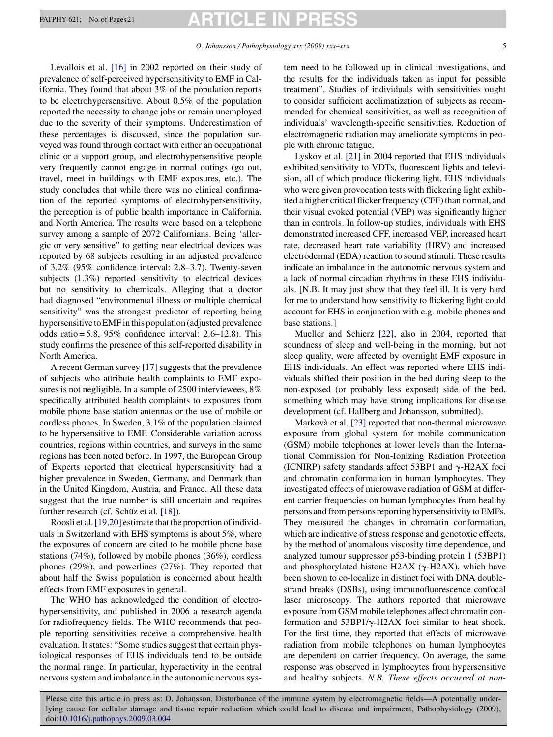# PATPHY-621; No. of Pages 21 **ARTICLE IN**

Levallois et al. [\[16\]](#page-18-0) in 2002 reported on their study of prevalence of self-perceived hypersensitivity to EMF in California. They found that about 3% of the population reports to be electrohypersensitive. About 0.5% of the population reported the necessity to change jobs or remain unemployed due to the severity of their symptoms. Underestimation of these percentages is discussed, since the population surveyed was found through contact with either an occupational clinic or a support group, and electrohypersensitive people very frequently cannot engage in normal outings (go out, travel, meet in buildings with EMF exposures, etc.). The study concludes that while there was no clinical confirmation of the reported symptoms of electrohypersensitivity, the perception is of public health importance in California, and North America. The results were based on a telephone survey among a sample of 2072 Californians. Being 'allergic or very sensitive" to getting near electrical devices was reported by 68 subjects resulting in an adjusted prevalence of 3.2% (95% confidence interval: 2.8–3.7). Twenty-seven subjects (1.3%) reported sensitivity to electrical devices but no sensitivity to chemicals. Alleging that a doctor had diagnosed "environmental illness or multiple chemical sensitivity" was the strongest predictor of reporting being hypersensitive to EMF in this population (adjusted prevalence odds ratio = 5.8, 95% confidence interval: 2.6–12.8). This study confirms the presence of this self-reported disability in North America.

A recent German survey [\[17\]](#page-18-0) suggests that the prevalence of subjects who attribute health complaints to EMF exposures is not negligible. In a sample of 2500 interviewees,  $8\%$ specifically attributed health complaints to exposures from mobile phone base station antennas or the use of mobile or cordless phones. In Sweden, 3.1% of the population claimed to be hypersensitive to EMF. Considerable variation across countries, regions within countries, and surveys in the same regions has been noted before. In 1997, the European Group of Experts reported that electrical hypersensitivity had a higher prevalence in Sweden, Germany, and Denmark than in the United Kingdom, Austria, and France. All these data suggest that the true number is still uncertain and requires further research (cf. Schüz et al. [\[18\]\).](#page-18-0)

Roosli et al.[\[19,20\]](#page-18-0) estimate that the proportion of individuals in Switzerland with EHS symptoms is about 5%, where the exposures of concern are cited to be mobile phone base stations (74%), followed by mobile phones (36%), cordless phones (29%), and powerlines (27%). They reported that about half the Swiss population is concerned about health effects from EMF exposures in general.

The WHO has acknowledged the condition of electrohypersensitivity, and published in 2006 a research agenda for radiofrequency fields. The WHO recommends that people reporting sensitivities receive a comprehensive health evaluation. It states: "Some studies suggest that certain physiological responses of EHS individuals tend to be outside the normal range. In particular, hyperactivity in the central nervous system and imbalance in the autonomic nervous system need to be followed up in clinical investigations, and the results for the individuals taken as input for possible treatment". Studies of individuals with sensitivities ought to consider sufficient acclimatization of subjects as recommended for chemical sensitivities, as well as recognition of individuals' wavelength-specific sensitivities. Reduction of electromagnetic radiation may ameliorate symptoms in people with chronic fatigue.

Lyskov et al. [\[21\]](#page-18-0) in 2004 reported that EHS individuals exhibited sensitivity to VDTs, fluorescent lights and television, all of which produce flickering light. EHS individuals who were given provocation tests with flickering light exhibited a higher critical flicker frequency (CFF) than normal, and their visual evoked potential (VEP) was significantly higher than in controls. In follow-up studies, individuals with EHS demonstrated increased CFF, increased VEP, increased heart rate, decreased heart rate variability (HRV) and increased electrodermal (EDA) reaction to sound stimuli. These results indicate an imbalance in the autonomic nervous system and a lack of normal circadian rhythms in these EHS individuals. [N.B. It may just show that they feel ill. It is very hard for me to understand how sensitivity to flickering light could account for EHS in conjunction with e.g. mobile phones and base stations.]

Mueller and Schierz [\[22\],](#page-18-0) also in 2004, reported that soundness of sleep and well-being in the morning, but not sleep quality, were affected by overnight EMF exposure in EHS individuals. An effect was reported where EHS individuals shifted their position in the bed during sleep to the non-exposed (or probably less exposed) side of the bed, something which may have strong implications for disease development (cf. Hallberg and Johansson, submitted).

Markovà et al. [\[23\]](#page-18-0) reported that non-thermal microwave exposure from global system for mobile communication (GSM) mobile telephones at lower levels than the International Commission for Non-Ionizing Radiation Protection (ICNIRP) safety standards affect 53BP1 and  $\gamma$ -H2AX foci and chromatin conformation in human lymphocytes. They investigated effects of microwave radiation of GSM at different carrier frequencies on human lymphocytes from healthy persons and from persons reporting hypersensitivity to EMFs. They measured the changes in chromatin conformation, which are indicative of stress response and genotoxic effects, by the method of anomalous viscosity time dependence, and analyzed tumour suppressor p53-binding protein 1 (53BP1) and phosphorylated histone H2AX ( $\gamma$ -H2AX), which have been shown to co-localize in distinct foci with DNA doublestrand breaks (DSBs), using immunofluorescence confocal laser microscopy. The authors reported that microwave exposure from GSM mobile telephones affect chromatin conformation and  $53BP1/\gamma$ -H2AX foci similar to heat shock. For the first time, they reported that effects of microwave radiation from mobile telephones on human lymphocytes are dependent on carrier frequency. On average, the same response was observed in lymphocytes from hypersensitive and healthy subjects. *N.B. These effects occurred at non-*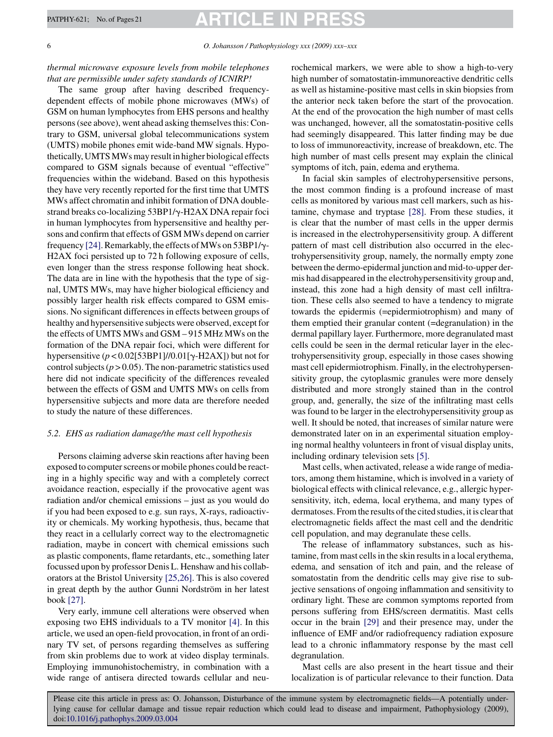## *thermal microwave exposure levels from mobile telephones that are permissible under safety standards of ICNIRP!*

The same group after having described frequencydependent effects of mobile phone microwaves (MWs) of GSM on human lymphocytes from EHS persons and healthy persons (see above), went ahead asking themselves this: Contrary to GSM, universal global telecommunications system (UMTS) mobile phones emit wide-band MW signals. Hypothetically, UMTSMWs may result in higher biological effects compared to GSM signals because of eventual "effective" frequencies within the wideband. Based on this hypothesis they have very recently reported for the first time that UMTS MWs affect chromatin and inhibit formation of DNA doublestrand breaks co-localizing  $53BP1/\gamma$ -H2AX DNA repair foci in human lymphocytes from hypersensitive and healthy persons and confirm that effects of GSM MWs depend on carrier frequency [\[24\]. R](#page-18-0)emarkably, the effects of MWs on  $53BP1/\gamma$ -H2AX foci persisted up to 72 h following exposure of cells, even longer than the stress response following heat shock. The data are in line with the hypothesis that the type of signal, UMTS MWs, may have higher biological efficiency and possibly larger health risk effects compared to GSM emissions. No significant differences in effects between groups of healthy and hypersensitive subjects were observed, except for the effects of UMTS MWs and GSM – 915 MHz MWs on the formation of the DNA repair foci, which were different for hypersensitive  $(p < 0.02[53BP1]/0.01[\gamma-H2AX])$  but not for control subjects  $(p > 0.05)$ . The non-parametric statistics used here did not indicate specificity of the differences revealed between the effects of GSM and UMTS MWs on cells from hypersensitive subjects and more data are therefore needed to study the nature of these differences.

### *5.2. EHS as radiation damage/the mast cell hypothesis*

Persons claiming adverse skin reactions after having been exposed to computer screens or mobile phones could be reacting in a highly specific way and with a completely correct avoidance reaction, especially if the provocative agent was radiation and/or chemical emissions – just as you would do if you had been exposed to e.g. sun rays, X-rays, radioactivity or chemicals. My working hypothesis, thus, became that they react in a cellularly correct way to the electromagnetic radiation, maybe in concert with chemical emissions such as plastic components, flame retardants, etc., something later focussed upon by professor Denis L. Henshaw and his collaborators at the Bristol University [\[25,26\]. T](#page-18-0)his is also covered in great depth by the author Gunni Nordström in her latest book [\[27\].](#page-19-0)

Very early, immune cell alterations were observed when exposing two EHS individuals to a TV monitor [\[4\].](#page-18-0) In this article, we used an open-field provocation, in front of an ordinary TV set, of persons regarding themselves as suffering from skin problems due to work at video display terminals. Employing immunohistochemistry, in combination with a wide range of antisera directed towards cellular and neurochemical markers, we were able to show a high-to-very high number of somatostatin-immunoreactive dendritic cells as well as histamine-positive mast cells in skin biopsies from the anterior neck taken before the start of the provocation. At the end of the provocation the high number of mast cells was unchanged, however, all the somatostatin-positive cells had seemingly disappeared. This latter finding may be due to loss of immunoreactivity, increase of breakdown, etc. The high number of mast cells present may explain the clinical symptoms of itch, pain, edema and erythema.

In facial skin samples of electrohypersensitive persons, the most common finding is a profound increase of mast cells as monitored by various mast cell markers, such as histamine, chymase and tryptase [\[28\].](#page-19-0) From these studies, it is clear that the number of mast cells in the upper dermis is increased in the electrohypersensitivity group. A different pattern of mast cell distribution also occurred in the electrohypersensitivity group, namely, the normally empty zone between the dermo-epidermal junction and mid-to-upper dermis had disappeared in the electrohypersensitivity group and, instead, this zone had a high density of mast cell infiltration. These cells also seemed to have a tendency to migrate towards the epidermis (=epidermiotrophism) and many of them emptied their granular content (=degranulation) in the dermal papillary layer. Furthermore, more degranulated mast cells could be seen in the dermal reticular layer in the electrohypersensitivity group, especially in those cases showing mast cell epidermiotrophism. Finally, in the electrohypersensitivity group, the cytoplasmic granules were more densely distributed and more strongly stained than in the control group, and, generally, the size of the infiltrating mast cells was found to be larger in the electrohypersensitivity group as well. It should be noted, that increases of similar nature were demonstrated later on in an experimental situation employing normal healthy volunteers in front of visual display units, including ordinary television sets [\[5\].](#page-18-0)

Mast cells, when activated, release a wide range of mediators, among them histamine, which is involved in a variety of biological effects with clinical relevance, e.g., allergic hypersensitivity, itch, edema, local erythema, and many types of dermatoses. From the results of the cited studies, it is clear that electromagnetic fields affect the mast cell and the dendritic cell population, and may degranulate these cells.

The release of inflammatory substances, such as histamine, from mast cells in the skin results in a local erythema, edema, and sensation of itch and pain, and the release of somatostatin from the dendritic cells may give rise to subjective sensations of ongoing inflammation and sensitivity to ordinary light. These are common symptoms reported from persons suffering from EHS/screen dermatitis. Mast cells occur in the brain [\[29\]](#page-19-0) and their presence may, under the influence of EMF and/or radiofrequency radiation exposure lead to a chronic inflammatory response by the mast cell degranulation.

Mast cells are also present in the heart tissue and their localization is of particular relevance to their function. Data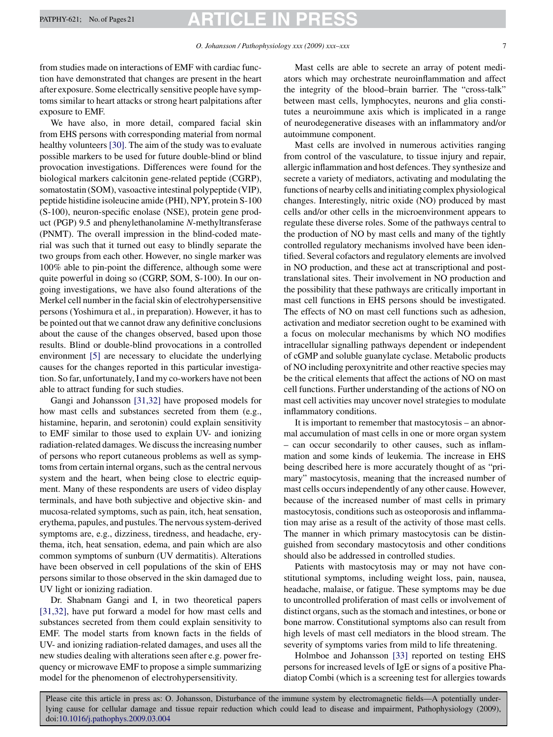# PATPHY-621; No. of Pages 21 **ARTICLE I**

from studies made on interactions of EMF with cardiac function have demonstrated that changes are present in the heart after exposure. Some electrically sensitive people have symptoms similar to heart attacks or strong heart palpitations after exposure to EMF.

We have also, in more detail, compared facial skin from EHS persons with corresponding material from normal healthy volunteers [\[30\]. T](#page-19-0)he aim of the study was to evaluate possible markers to be used for future double-blind or blind provocation investigations. Differences were found for the biological markers calcitonin gene-related peptide (CGRP), somatostatin (SOM), vasoactive intestinal polypeptide (VIP), peptide histidine isoleucine amide (PHI), NPY, protein S-100 (S-100), neuron-specific enolase (NSE), protein gene product (PGP) 9.5 and phenylethanolamine *N*-methyltransferase (PNMT). The overall impression in the blind-coded material was such that it turned out easy to blindly separate the two groups from each other. However, no single marker was 100% able to pin-point the difference, although some were quite powerful in doing so (CGRP, SOM, S-100). In our ongoing investigations, we have also found alterations of the Merkel cell number in the facial skin of electrohypersensitive persons (Yoshimura et al., in preparation). However, it has to be pointed out that we cannot draw any definitive conclusions about the cause of the changes observed, based upon those results. Blind or double-blind provocations in a controlled environment [\[5\]](#page-18-0) are necessary to elucidate the underlying causes for the changes reported in this particular investigation. So far, unfortunately, I and my co-workers have not been able to attract funding for such studies.

Gangi and Johansson [\[31,32\]](#page-19-0) have proposed models for how mast cells and substances secreted from them (e.g., histamine, heparin, and serotonin) could explain sensitivity to EMF similar to those used to explain UV- and ionizing radiation-related damages. We discuss the increasing number of persons who report cutaneous problems as well as symptoms from certain internal organs, such as the central nervous system and the heart, when being close to electric equipment. Many of these respondents are users of video display terminals, and have both subjective and objective skin- and mucosa-related symptoms, such as pain, itch, heat sensation, erythema, papules, and pustules. The nervous system-derived symptoms are, e.g., dizziness, tiredness, and headache, erythema, itch, heat sensation, edema, and pain which are also common symptoms of sunburn (UV dermatitis). Alterations have been observed in cell populations of the skin of EHS persons similar to those observed in the skin damaged due to UV light or ionizing radiation.

Dr. Shabnam Gangi and I, in two theoretical papers [\[31,32\],](#page-19-0) have put forward a model for how mast cells and substances secreted from them could explain sensitivity to EMF. The model starts from known facts in the fields of UV- and ionizing radiation-related damages, and uses all the new studies dealing with alterations seen after e.g. power frequency or microwave EMF to propose a simple summarizing model for the phenomenon of electrohypersensitivity.

Mast cells are able to secrete an array of potent mediators which may orchestrate neuroinflammation and affect the integrity of the blood–brain barrier. The "cross-talk" between mast cells, lymphocytes, neurons and glia constitutes a neuroimmune axis which is implicated in a range of neurodegenerative diseases with an inflammatory and/or autoimmune component.

Mast cells are involved in numerous activities ranging from control of the vasculature, to tissue injury and repair, allergic inflammation and host defences. They synthesize and secrete a variety of mediators, activating and modulating the functions of nearby cells and initiating complex physiological changes. Interestingly, nitric oxide (NO) produced by mast cells and/or other cells in the microenvironment appears to regulate these diverse roles. Some of the pathways central to the production of NO by mast cells and many of the tightly controlled regulatory mechanisms involved have been identified. Several cofactors and regulatory elements are involved in NO production, and these act at transcriptional and posttranslational sites. Their involvement in NO production and the possibility that these pathways are critically important in mast cell functions in EHS persons should be investigated. The effects of NO on mast cell functions such as adhesion, activation and mediator secretion ought to be examined with a focus on molecular mechanisms by which NO modifies intracellular signalling pathways dependent or independent of cGMP and soluble guanylate cyclase. Metabolic products of NO including peroxynitrite and other reactive species may be the critical elements that affect the actions of NO on mast cell functions. Further understanding of the actions of NO on mast cell activities may uncover novel strategies to modulate inflammatory conditions.

It is important to remember that mastocytosis – an abnormal accumulation of mast cells in one or more organ system – can occur secondarily to other causes, such as inflammation and some kinds of leukemia. The increase in EHS being described here is more accurately thought of as "primary" mastocytosis, meaning that the increased number of mast cells occurs independently of any other cause. However, because of the increased number of mast cells in primary mastocytosis, conditions such as osteoporosis and inflammation may arise as a result of the activity of those mast cells. The manner in which primary mastocytosis can be distinguished from secondary mastocytosis and other conditions should also be addressed in controlled studies.

Patients with mastocytosis may or may not have constitutional symptoms, including weight loss, pain, nausea, headache, malaise, or fatigue. These symptoms may be due to uncontrolled proliferation of mast cells or involvement of distinct organs, such as the stomach and intestines, or bone or bone marrow. Constitutional symptoms also can result from high levels of mast cell mediators in the blood stream. The severity of symptoms varies from mild to life threatening.

Holmboe and Johansson [\[33\]](#page-19-0) reported on testing EHS persons for increased levels of IgE or signs of a positive Phadiatop Combi (which is a screening test for allergies towards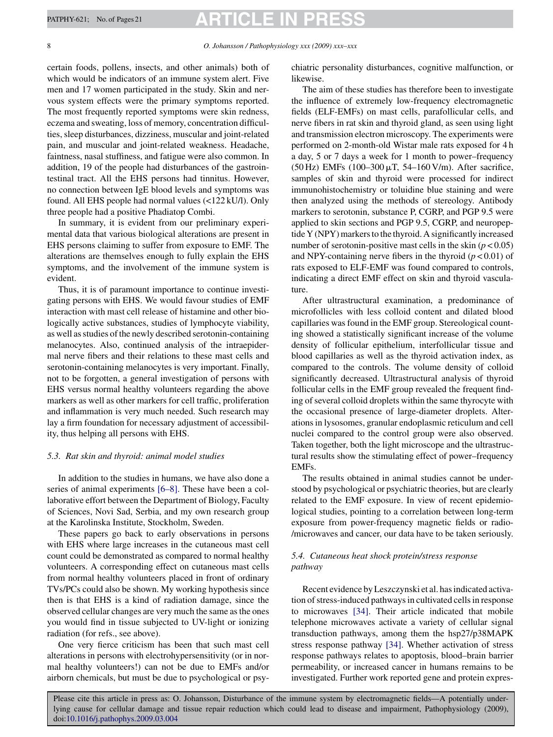8 *O. Johansson / Pathophysiology xxx (2009) xxx–xxx*

certain foods, pollens, insects, and other animals) both of which would be indicators of an immune system alert. Five men and 17 women participated in the study. Skin and nervous system effects were the primary symptoms reported. The most frequently reported symptoms were skin redness, eczema and sweating, loss of memory, concentration difficulties, sleep disturbances, dizziness, muscular and joint-related pain, and muscular and joint-related weakness. Headache, faintness, nasal stuffiness, and fatigue were also common. In addition, 19 of the people had disturbances of the gastrointestinal tract. All the EHS persons had tinnitus. However, no connection between IgE blood levels and symptoms was found. All EHS people had normal values (<122 kU/l). Only three people had a positive Phadiatop Combi.

In summary, it is evident from our preliminary experimental data that various biological alterations are present in EHS persons claiming to suffer from exposure to EMF. The alterations are themselves enough to fully explain the EHS symptoms, and the involvement of the immune system is evident.

Thus, it is of paramount importance to continue investigating persons with EHS. We would favour studies of EMF interaction with mast cell release of histamine and other biologically active substances, studies of lymphocyte viability, as well as studies of the newly described serotonin-containing melanocytes. Also, continued analysis of the intraepidermal nerve fibers and their relations to these mast cells and serotonin-containing melanocytes is very important. Finally, not to be forgotten, a general investigation of persons with EHS versus normal healthy volunteers regarding the above markers as well as other markers for cell traffic, proliferation and inflammation is very much needed. Such research may lay a firm foundation for necessary adjustment of accessibility, thus helping all persons with EHS.

### *5.3. Rat skin and thyroid: animal model studies*

In addition to the studies in humans, we have also done a series of animal experiments [\[6–8\].](#page-18-0) These have been a collaborative effort between the Department of Biology, Faculty of Sciences, Novi Sad, Serbia, and my own research group at the Karolinska Institute, Stockholm, Sweden.

These papers go back to early observations in persons with EHS where large increases in the cutaneous mast cell count could be demonstrated as compared to normal healthy volunteers. A corresponding effect on cutaneous mast cells from normal healthy volunteers placed in front of ordinary TVs/PCs could also be shown. My working hypothesis since then is that EHS is a kind of radiation damage, since the observed cellular changes are very much the same as the ones you would find in tissue subjected to UV-light or ionizing radiation (for refs., see above).

One very fierce criticism has been that such mast cell alterations in persons with electrohypersensitivity (or in normal healthy volunteers!) can not be due to EMFs and/or airborn chemicals, but must be due to psychological or psychiatric personality disturbances, cognitive malfunction, or likewise.

The aim of these studies has therefore been to investigate the influence of extremely low-frequency electromagnetic fields (ELF-EMFs) on mast cells, parafollicular cells, and nerve fibers in rat skin and thyroid gland, as seen using light and transmission electron microscopy. The experiments were performed on 2-month-old Wistar male rats exposed for 4 h a day, 5 or 7 days a week for 1 month to power–frequency  $(50 \text{ Hz})$  EMFs  $(100-300 \mu \text{T}, 54-160 \text{ V/m})$ . After sacrifice, samples of skin and thyroid were processed for indirect immunohistochemistry or toluidine blue staining and were then analyzed using the methods of stereology. Antibody markers to serotonin, substance P, CGRP, and PGP 9.5 were applied to skin sections and PGP 9.5, CGRP, and neuropeptide Y (NPY) markers to the thyroid. A significantly increased number of serotonin-positive mast cells in the skin  $(p < 0.05)$ and NPY-containing nerve fibers in the thyroid  $(p < 0.01)$  of rats exposed to ELF-EMF was found compared to controls, indicating a direct EMF effect on skin and thyroid vasculature.

After ultrastructural examination, a predominance of microfollicles with less colloid content and dilated blood capillaries was found in the EMF group. Stereological counting showed a statistically significant increase of the volume density of follicular epithelium, interfollicular tissue and blood capillaries as well as the thyroid activation index, as compared to the controls. The volume density of colloid significantly decreased. Ultrastructural analysis of thyroid follicular cells in the EMF group revealed the frequent finding of several colloid droplets within the same thyrocyte with the occasional presence of large-diameter droplets. Alterations in lysosomes, granular endoplasmic reticulum and cell nuclei compared to the control group were also observed. Taken together, both the light microscope and the ultrastructural results show the stimulating effect of power–frequency EMFs.

The results obtained in animal studies cannot be understood by psychological or psychiatric theories, but are clearly related to the EMF exposure. In view of recent epidemiological studies, pointing to a correlation between long-term exposure from power-frequency magnetic fields or radio- /microwaves and cancer, our data have to be taken seriously.

## *5.4. Cutaneous heat shock protein/stress response pathway*

Recent evidence by Leszczynski et al. has indicated activation of stress-induced pathways in cultivated cells in response to microwaves [\[34\].](#page-19-0) Their article indicated that mobile telephone microwaves activate a variety of cellular signal transduction pathways, among them the hsp27/p38MAPK stress response pathway [\[34\].](#page-19-0) Whether activation of stress response pathways relates to apoptosis, blood–brain barrier permeability, or increased cancer in humans remains to be investigated. Further work reported gene and protein expres-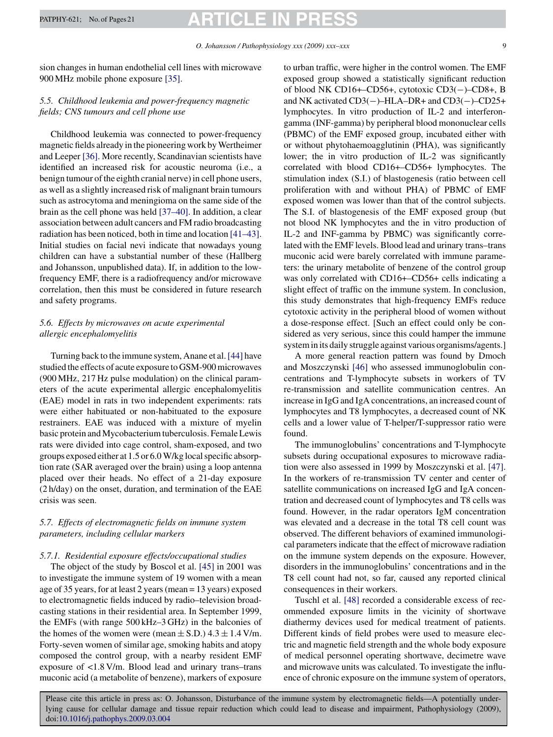# PATPHY-621; No. of Pages 21 **ARTICLE IN**

sion changes in human endothelial cell lines with microwave 900 MHz mobile phone exposure [\[35\].](#page-19-0)

# *5.5. Childhood leukemia and power-frequency magnetic fields; CNS tumours and cell phone use*

Childhood leukemia was connected to power-frequency magnetic fields already in the pioneering work by Wertheimer and Leeper [\[36\]. M](#page-19-0)ore recently, Scandinavian scientists have identified an increased risk for acoustic neuroma (i.e., a benign tumour of the eighth cranial nerve) in cell phone users, as well as a slightly increased risk of malignant brain tumours such as astrocytoma and meningioma on the same side of the brain as the cell phone was held [\[37–40\]. I](#page-19-0)n addition, a clear association between adult cancers and FM radio broadcasting radiation has been noticed, both in time and location [\[41–43\].](#page-19-0) Initial studies on facial nevi indicate that nowadays young children can have a substantial number of these (Hallberg and Johansson, unpublished data). If, in addition to the lowfrequency EMF, there is a radiofrequency and/or microwave correlation, then this must be considered in future research and safety programs.

# *5.6. Effects by microwaves on acute experimental allergic encephalomyelitis*

Turning back to the immune system, Anane et al.[\[44\]](#page-19-0) have studied the effects of acute exposure to GSM-900 microwaves (900 MHz, 217 Hz pulse modulation) on the clinical parameters of the acute experimental allergic encephalomyelitis (EAE) model in rats in two independent experiments: rats were either habituated or non-habituated to the exposure restrainers. EAE was induced with a mixture of myelin basic protein and Mycobacterium tuberculosis. Female Lewis rats were divided into cage control, sham-exposed, and two groups exposed either at 1.5 or 6.0 W/kg local specific absorption rate (SAR averaged over the brain) using a loop antenna placed over their heads. No effect of a 21-day exposure (2 h/day) on the onset, duration, and termination of the EAE crisis was seen.

# *5.7. Effects of electromagnetic fields on immune system parameters, including cellular markers*

### *5.7.1. Residential exposure effects/occupational studies*

The object of the study by Boscol et al. [\[45\]](#page-19-0) in 2001 was to investigate the immune system of 19 women with a mean age of 35 years, for at least 2 years (mean = 13 years) exposed to electromagnetic fields induced by radio–television broadcasting stations in their residential area. In September 1999, the EMFs (with range 500 kHz–3 GHz) in the balconies of the homes of the women were (mean  $\pm$  S.D.) 4.3  $\pm$  1.4 V/m. Forty-seven women of similar age, smoking habits and atopy composed the control group, with a nearby resident EMF exposure of <1.8 V/m. Blood lead and urinary trans–trans muconic acid (a metabolite of benzene), markers of exposure

to urban traffic, were higher in the control women. The EMF exposed group showed a statistically significant reduction of blood NK CD16+–CD56+, cytotoxic CD3(−)–CD8+, B and NK activated CD3(−)–HLA–DR+ and CD3(−)–CD25+ lymphocytes. In vitro production of IL-2 and interferongamma (INF-gamma) by peripheral blood mononuclear cells (PBMC) of the EMF exposed group, incubated either with or without phytohaemoagglutinin (PHA), was significantly lower; the in vitro production of IL-2 was significantly correlated with blood CD16+–CD56+ lymphocytes. The stimulation index (S.I.) of blastogenesis (ratio between cell proliferation with and without PHA) of PBMC of EMF exposed women was lower than that of the control subjects. The S.I. of blastogenesis of the EMF exposed group (but not blood NK lymphocytes and the in vitro production of IL-2 and INF-gamma by PBMC) was significantly correlated with the EMF levels. Blood lead and urinary trans–trans muconic acid were barely correlated with immune parameters: the urinary metabolite of benzene of the control group was only correlated with CD16+–CD56+ cells indicating a slight effect of traffic on the immune system. In conclusion, this study demonstrates that high-frequency EMFs reduce cytotoxic activity in the peripheral blood of women without a dose-response effect. [Such an effect could only be considered as very serious, since this could hamper the immune system in its daily struggle against various organisms/agents.]

A more general reaction pattern was found by Dmoch and Moszczynski [\[46\]](#page-19-0) who assessed immunoglobulin concentrations and T-lymphocyte subsets in workers of TV re-transmission and satellite communication centres. An increase in IgG and IgA concentrations, an increased count of lymphocytes and T8 lymphocytes, a decreased count of NK cells and a lower value of T-helper/T-suppressor ratio were found.

The immunoglobulins' concentrations and T-lymphocyte subsets during occupational exposures to microwave radiation were also assessed in 1999 by Moszczynski et al. [\[47\].](#page-19-0) In the workers of re-transmission TV center and center of satellite communications on increased IgG and IgA concentration and decreased count of lymphocytes and T8 cells was found. However, in the radar operators IgM concentration was elevated and a decrease in the total T8 cell count was observed. The different behaviors of examined immunological parameters indicate that the effect of microwave radiation on the immune system depends on the exposure. However, disorders in the immunoglobulins' concentrations and in the T8 cell count had not, so far, caused any reported clinical consequences in their workers.

Tuschl et al. [\[48\]](#page-19-0) recorded a considerable excess of recommended exposure limits in the vicinity of shortwave diathermy devices used for medical treatment of patients. Different kinds of field probes were used to measure electric and magnetic field strength and the whole body exposure of medical personnel operating shortwave, decimetre wave and microwave units was calculated. To investigate the influence of chronic exposure on the immune system of operators,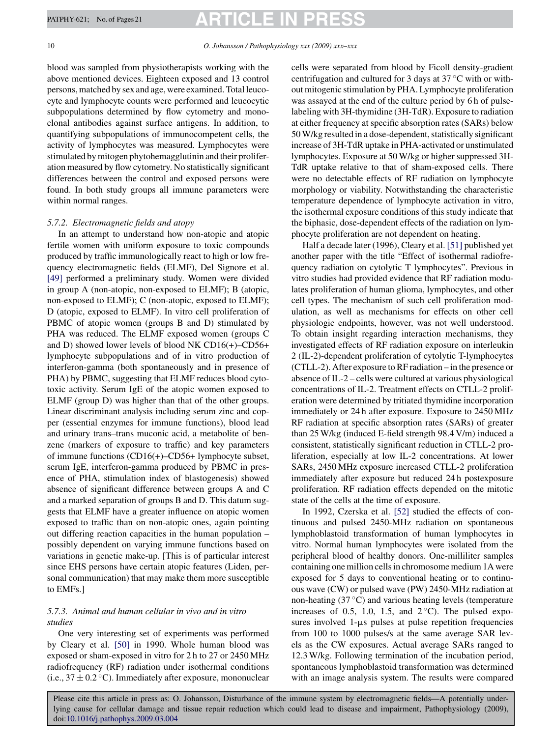blood was sampled from physiotherapists working with the above mentioned devices. Eighteen exposed and 13 control persons, matched by sex and age, were examined. Total leucocyte and lymphocyte counts were performed and leucocytic subpopulations determined by flow cytometry and monoclonal antibodies against surface antigens. In addition, to quantifying subpopulations of immunocompetent cells, the activity of lymphocytes was measured. Lymphocytes were stimulated by mitogen phytohemagglutinin and their proliferation measured by flow cytometry. No statistically significant differences between the control and exposed persons were found. In both study groups all immune parameters were within normal ranges.

### *5.7.2. Electromagnetic fields and atopy*

In an attempt to understand how non-atopic and atopic fertile women with uniform exposure to toxic compounds produced by traffic immunologically react to high or low frequency electromagnetic fields (ELMF), Del Signore et al. [\[49\]](#page-19-0) performed a preliminary study. Women were divided in group A (non-atopic, non-exposed to ELMF); B (atopic, non-exposed to ELMF); C (non-atopic, exposed to ELMF); D (atopic, exposed to ELMF). In vitro cell proliferation of PBMC of atopic women (groups B and D) stimulated by PHA was reduced. The ELMF exposed women (groups C and D) showed lower levels of blood NK CD16(+)–CD56+ lymphocyte subpopulations and of in vitro production of interferon-gamma (both spontaneously and in presence of PHA) by PBMC, suggesting that ELMF reduces blood cytotoxic activity. Serum IgE of the atopic women exposed to ELMF (group D) was higher than that of the other groups. Linear discriminant analysis including serum zinc and copper (essential enzymes for immune functions), blood lead and urinary trans–trans muconic acid, a metabolite of benzene (markers of exposure to traffic) and key parameters of immune functions (CD16(+)–CD56+ lymphocyte subset, serum IgE, interferon-gamma produced by PBMC in presence of PHA, stimulation index of blastogenesis) showed absence of significant difference between groups A and C and a marked separation of groups B and D. This datum suggests that ELMF have a greater influence on atopic women exposed to traffic than on non-atopic ones, again pointing out differing reaction capacities in the human population – possibly dependent on varying immune functions based on variations in genetic make-up. [This is of particular interest since EHS persons have certain atopic features (Liden, personal communication) that may make them more susceptible to EMFs.]

# *5.7.3. Animal and human cellular in vivo and in vitro studies*

One very interesting set of experiments was performed by Cleary et al. [\[50\]](#page-19-0) in 1990. Whole human blood was exposed or sham-exposed in vitro for 2 h to 27 or 2450 MHz radiofrequency (RF) radiation under isothermal conditions (i.e.,  $37 \pm 0.2$  °C). Immediately after exposure, mononuclear cells were separated from blood by Ficoll density-gradient centrifugation and cultured for 3 days at 37 ◦C with or without mitogenic stimulation by PHA. Lymphocyte proliferation was assayed at the end of the culture period by 6 h of pulselabeling with 3H-thymidine (3H-TdR). Exposure to radiation at either frequency at specific absorption rates (SARs) below 50 W/kg resulted in a dose-dependent, statistically significant increase of 3H-TdR uptake in PHA-activated or unstimulated lymphocytes. Exposure at 50 W/kg or higher suppressed 3H-TdR uptake relative to that of sham-exposed cells. There were no detectable effects of RF radiation on lymphocyte morphology or viability. Notwithstanding the characteristic temperature dependence of lymphocyte activation in vitro, the isothermal exposure conditions of this study indicate that the biphasic, dose-dependent effects of the radiation on lymphocyte proliferation are not dependent on heating.

Half a decade later (1996), Cleary et al. [\[51\]](#page-19-0) published yet another paper with the title "Effect of isothermal radiofrequency radiation on cytolytic T lymphocytes". Previous in vitro studies had provided evidence that RF radiation modulates proliferation of human glioma, lymphocytes, and other cell types. The mechanism of such cell proliferation modulation, as well as mechanisms for effects on other cell physiologic endpoints, however, was not well understood. To obtain insight regarding interaction mechanisms, they investigated effects of RF radiation exposure on interleukin 2 (IL-2)-dependent proliferation of cytolytic T-lymphocytes (CTLL-2). After exposure to RF radiation – in the presence or absence of IL-2 – cells were cultured at various physiological concentrations of IL-2. Treatment effects on CTLL-2 proliferation were determined by tritiated thymidine incorporation immediately or 24 h after exposure. Exposure to 2450 MHz RF radiation at specific absorption rates (SARs) of greater than 25 W/kg (induced E-field strength 98.4 V/m) induced a consistent, statistically significant reduction in CTLL-2 proliferation, especially at low IL-2 concentrations. At lower SARs, 2450 MHz exposure increased CTLL-2 proliferation immediately after exposure but reduced 24 h postexposure proliferation. RF radiation effects depended on the mitotic state of the cells at the time of exposure.

In 1992, Czerska et al. [\[52\]](#page-19-0) studied the effects of continuous and pulsed 2450-MHz radiation on spontaneous lymphoblastoid transformation of human lymphocytes in vitro. Normal human lymphocytes were isolated from the peripheral blood of healthy donors. One-milliliter samples containing one million cells in chromosome medium 1A were exposed for 5 days to conventional heating or to continuous wave (CW) or pulsed wave (PW) 2450-MHz radiation at non-heating (37 ◦C) and various heating levels (temperature increases of 0.5, 1.0, 1.5, and  $2 °C$ ). The pulsed exposures involved  $1$ - $\mu s$  pulses at pulse repetition frequencies from 100 to 1000 pulses/s at the same average SAR levels as the CW exposures. Actual average SARs ranged to 12.3 W/kg. Following termination of the incubation period, spontaneous lymphoblastoid transformation was determined with an image analysis system. The results were compared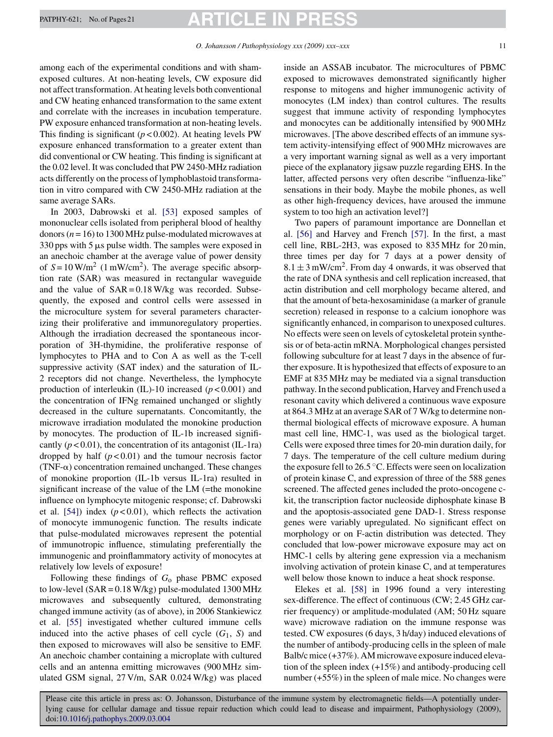# PATPHY-621; No. of Pages 21 **ARTICLE IN**

among each of the experimental conditions and with shamexposed cultures. At non-heating levels, CW exposure did not affect transformation. At heating levels both conventional and CW heating enhanced transformation to the same extent and correlate with the increases in incubation temperature. PW exposure enhanced transformation at non-heating levels. This finding is significant (*p* < 0.002). At heating levels PW exposure enhanced transformation to a greater extent than did conventional or CW heating. This finding is significant at the 0.02 level. It was concluded that PW 2450-MHz radiation acts differently on the process of lymphoblastoid transformation in vitro compared with CW 2450-MHz radiation at the same average SARs.

In 2003, Dabrowski et al. [\[53\]](#page-19-0) exposed samples of mononuclear cells isolated from peripheral blood of healthy donors (*n* = 16) to 1300 MHz pulse-modulated microwaves at  $330$  pps with 5  $\mu$ s pulse width. The samples were exposed in an anechoic chamber at the average value of power density of  $S = 10$  W/m<sup>2</sup> (1 mW/cm<sup>2</sup>). The average specific absorption rate (SAR) was measured in rectangular waveguide and the value of  $SAR = 0.18$  W/kg was recorded. Subsequently, the exposed and control cells were assessed in the microculture system for several parameters characterizing their proliferative and immunoregulatory properties. Although the irradiation decreased the spontaneous incorporation of 3H-thymidine, the proliferative response of lymphocytes to PHA and to Con A as well as the T-cell suppressive activity (SAT index) and the saturation of IL-2 receptors did not change. Nevertheless, the lymphocyte production of interleukin (IL)-10 increased (*p* < 0.001) and the concentration of IFNg remained unchanged or slightly decreased in the culture supernatants. Concomitantly, the microwave irradiation modulated the monokine production by monocytes. The production of IL-1b increased significantly  $(p < 0.01)$ , the concentration of its antagonist (IL-1ra) dropped by half  $(p<0.01)$  and the tumour necrosis factor (TNF- $\alpha$ ) concentration remained unchanged. These changes of monokine proportion (IL-1b versus IL-1ra) resulted in significant increase of the value of the LM (=the monokine influence on lymphocyte mitogenic response; cf. Dabrowski et al.  $[54]$ ) index  $(p < 0.01)$ , which reflects the activation of monocyte immunogenic function. The results indicate that pulse-modulated microwaves represent the potential of immunotropic influence, stimulating preferentially the immunogenic and proinflammatory activity of monocytes at relatively low levels of exposure!

Following these findings of *G*<sup>o</sup> phase PBMC exposed to low-level  $(SAR = 0.18 W/kg)$  pulse-modulated 1300 MHz microwaves and subsequently cultured, demonstrating changed immune activity (as of above), in 2006 Stankiewicz et al. [\[55\]](#page-19-0) investigated whether cultured immune cells induced into the active phases of cell cycle  $(G_1, S)$  and then exposed to microwaves will also be sensitive to EMF. An anechoic chamber containing a microplate with cultured cells and an antenna emitting microwaves (900 MHz simulated GSM signal, 27 V/m, SAR 0.024 W/kg) was placed inside an ASSAB incubator. The microcultures of PBMC exposed to microwaves demonstrated significantly higher response to mitogens and higher immunogenic activity of monocytes (LM index) than control cultures. The results suggest that immune activity of responding lymphocytes and monocytes can be additionally intensified by 900 MHz microwaves. [The above described effects of an immune system activity-intensifying effect of 900 MHz microwaves are a very important warning signal as well as a very important piece of the explanatory jigsaw puzzle regarding EHS. In the latter, affected persons very often describe "influenza-like" sensations in their body. Maybe the mobile phones, as well as other high-frequency devices, have aroused the immune system to too high an activation level?]

Two papers of paramount importance are Donnellan et al. [\[56\]](#page-19-0) and Harvey and French [\[57\].](#page-19-0) In the first, a mast cell line, RBL-2H3, was exposed to 835 MHz for 20 min, three times per day for 7 days at a power density of  $8.1 \pm 3$  mW/cm<sup>2</sup>. From day 4 onwards, it was observed that the rate of DNA synthesis and cell replication increased, that actin distribution and cell morphology became altered, and that the amount of beta-hexosaminidase (a marker of granule secretion) released in response to a calcium ionophore was significantly enhanced, in comparison to unexposed cultures. No effects were seen on levels of cytoskeletal protein synthesis or of beta-actin mRNA. Morphological changes persisted following subculture for at least 7 days in the absence of further exposure. It is hypothesized that effects of exposure to an EMF at 835 MHz may be mediated via a signal transduction pathway. In the second publication, Harvey and French used a resonant cavity which delivered a continuous wave exposure at 864.3 MHz at an average SAR of 7 W/kg to determine nonthermal biological effects of microwave exposure. A human mast cell line, HMC-1, was used as the biological target. Cells were exposed three times for 20-min duration daily, for 7 days. The temperature of the cell culture medium during the exposure fell to 26.5 ◦C. Effects were seen on localization of protein kinase C, and expression of three of the 588 genes screened. The affected genes included the proto-oncogene ckit, the transcription factor nucleoside diphosphate kinase B and the apoptosis-associated gene DAD-1. Stress response genes were variably upregulated. No significant effect on morphology or on F-actin distribution was detected. They concluded that low-power microwave exposure may act on HMC-1 cells by altering gene expression via a mechanism involving activation of protein kinase C, and at temperatures well below those known to induce a heat shock response.

Elekes et al. [\[58\]](#page-19-0) in 1996 found a very interesting sex-difference. The effect of continuous (CW; 2.45 GHz carrier frequency) or amplitude-modulated (AM; 50 Hz square wave) microwave radiation on the immune response was tested. CW exposures (6 days, 3 h/day) induced elevations of the number of antibody-producing cells in the spleen of male Balb/c mice (+37%). AM microwave exposure induced elevation of the spleen index (+15%) and antibody-producing cell number (+55%) in the spleen of male mice. No changes were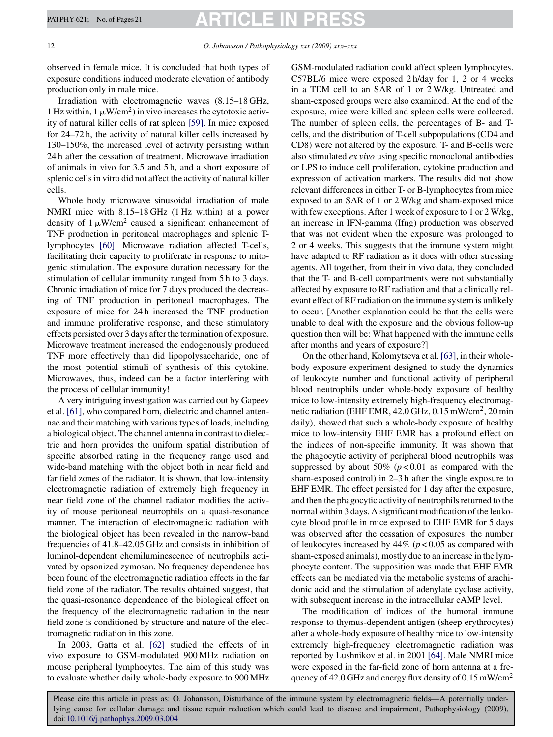observed in female mice. It is concluded that both types of exposure conditions induced moderate elevation of antibody production only in male mice.

Irradiation with electromagnetic waves (8.15–18 GHz, 1 Hz within,  $1 \mu W/cm^2$ ) in vivo increases the cytotoxic activity of natural killer cells of rat spleen [\[59\].](#page-19-0) In mice exposed for 24–72 h, the activity of natural killer cells increased by 130–150%, the increased level of activity persisting within 24 h after the cessation of treatment. Microwave irradiation of animals in vivo for 3.5 and 5 h, and a short exposure of splenic cells in vitro did not affect the activity of natural killer cells.

Whole body microwave sinusoidal irradiation of male NMRI mice with 8.15–18 GHz (1 Hz within) at a power density of  $1 \mu W/cm^2$  caused a significant enhancement of TNF production in peritoneal macrophages and splenic Tlymphocytes [\[60\].](#page-19-0) Microwave radiation affected T-cells, facilitating their capacity to proliferate in response to mitogenic stimulation. The exposure duration necessary for the stimulation of cellular immunity ranged from 5 h to 3 days. Chronic irradiation of mice for 7 days produced the decreasing of TNF production in peritoneal macrophages. The exposure of mice for 24 h increased the TNF production and immune proliferative response, and these stimulatory effects persisted over 3 days after the termination of exposure. Microwave treatment increased the endogenously produced TNF more effectively than did lipopolysaccharide, one of the most potential stimuli of synthesis of this cytokine. Microwaves, thus, indeed can be a factor interfering with the process of cellular immunity!

A very intriguing investigation was carried out by Gapeev et al. [\[61\], w](#page-19-0)ho compared horn, dielectric and channel antennae and their matching with various types of loads, including a biological object. The channel antenna in contrast to dielectric and horn provides the uniform spatial distribution of specific absorbed rating in the frequency range used and wide-band matching with the object both in near field and far field zones of the radiator. It is shown, that low-intensity electromagnetic radiation of extremely high frequency in near field zone of the channel radiator modifies the activity of mouse peritoneal neutrophils on a quasi-resonance manner. The interaction of electromagnetic radiation with the biological object has been revealed in the narrow-band frequencies of 41.8–42.05 GHz and consists in inhibition of luminol-dependent chemiluminescence of neutrophils activated by opsonized zymosan. No frequency dependence has been found of the electromagnetic radiation effects in the far field zone of the radiator. The results obtained suggest, that the quasi-resonance dependence of the biological effect on the frequency of the electromagnetic radiation in the near field zone is conditioned by structure and nature of the electromagnetic radiation in this zone.

In 2003, Gatta et al. [\[62\]](#page-19-0) studied the effects of in vivo exposure to GSM-modulated 900 MHz radiation on mouse peripheral lymphocytes. The aim of this study was to evaluate whether daily whole-body exposure to 900 MHz GSM-modulated radiation could affect spleen lymphocytes. C57BL/6 mice were exposed 2 h/day for 1, 2 or 4 weeks in a TEM cell to an SAR of 1 or 2 W/kg. Untreated and sham-exposed groups were also examined. At the end of the exposure, mice were killed and spleen cells were collected. The number of spleen cells, the percentages of B- and Tcells, and the distribution of T-cell subpopulations (CD4 and CD8) were not altered by the exposure. T- and B-cells were also stimulated *ex vivo* using specific monoclonal antibodies or LPS to induce cell proliferation, cytokine production and expression of activation markers. The results did not show relevant differences in either T- or B-lymphocytes from mice exposed to an SAR of 1 or 2 W/kg and sham-exposed mice with few exceptions. After 1 week of exposure to 1 or 2 W/kg, an increase in IFN-gamma (Ifng) production was observed that was not evident when the exposure was prolonged to 2 or 4 weeks. This suggests that the immune system might have adapted to RF radiation as it does with other stressing agents. All together, from their in vivo data, they concluded that the T- and B-cell compartments were not substantially affected by exposure to RF radiation and that a clinically relevant effect of RF radiation on the immune system is unlikely to occur. [Another explanation could be that the cells were unable to deal with the exposure and the obvious follow-up question then will be: What happened with the immune cells after months and years of exposure?]

On the other hand, Kolomytseva et al. [\[63\], i](#page-19-0)n their wholebody exposure experiment designed to study the dynamics of leukocyte number and functional activity of peripheral blood neutrophils under whole-body exposure of healthy mice to low-intensity extremely high-frequency electromagnetic radiation (EHF EMR, 42.0 GHz, 0.15 mW/cm<sup>2</sup>, 20 min daily), showed that such a whole-body exposure of healthy mice to low-intensity EHF EMR has a profound effect on the indices of non-specific immunity. It was shown that the phagocytic activity of peripheral blood neutrophils was suppressed by about  $50\%$  ( $p < 0.01$  as compared with the sham-exposed control) in 2–3 h after the single exposure to EHF EMR. The effect persisted for 1 day after the exposure, and then the phagocytic activity of neutrophils returned to the normal within 3 days. A significant modification of the leukocyte blood profile in mice exposed to EHF EMR for 5 days was observed after the cessation of exposures: the number of leukocytes increased by 44% (*p* < 0.05 as compared with sham-exposed animals), mostly due to an increase in the lymphocyte content. The supposition was made that EHF EMR effects can be mediated via the metabolic systems of arachidonic acid and the stimulation of adenylate cyclase activity, with subsequent increase in the intracellular cAMP level.

The modification of indices of the humoral immune response to thymus-dependent antigen (sheep erythrocytes) after a whole-body exposure of healthy mice to low-intensity extremely high-frequency electromagnetic radiation was reported by Lushnikov et al. in 2001 [\[64\].](#page-20-0) Male NMRI mice were exposed in the far-field zone of horn antenna at a frequency of 42.0 GHz and energy flux density of  $0.15 \text{ mW/cm}^2$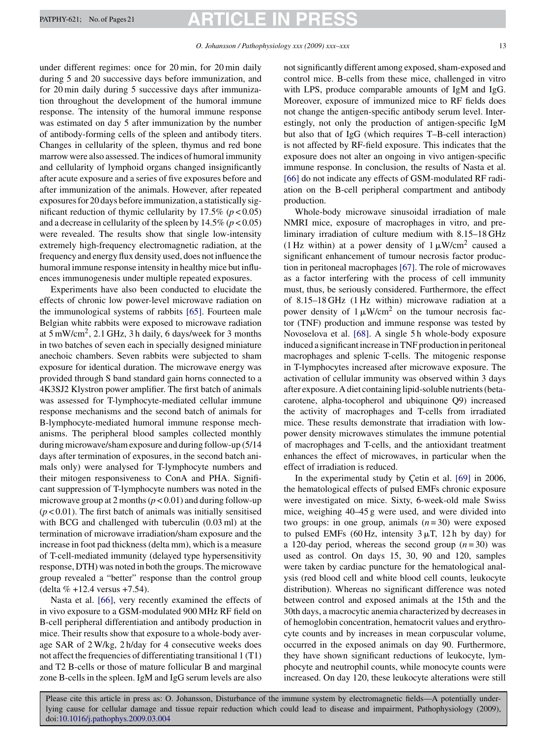# PATPHY-621; No. of Pages 21 **ARTICLE IN PRESS**

under different regimes: once for 20 min, for 20 min daily during 5 and 20 successive days before immunization, and for 20 min daily during 5 successive days after immunization throughout the development of the humoral immune response. The intensity of the humoral immune response was estimated on day 5 after immunization by the number of antibody-forming cells of the spleen and antibody titers. Changes in cellularity of the spleen, thymus and red bone marrow were also assessed. The indices of humoral immunity and cellularity of lymphoid organs changed insignificantly after acute exposure and a series of five exposures before and after immunization of the animals. However, after repeated exposures for 20 days before immunization, a statistically significant reduction of thymic cellularity by  $17.5\%$  ( $p < 0.05$ ) and a decrease in cellularity of the spleen by  $14.5\%$  ( $p < 0.05$ ) were revealed. The results show that single low-intensity extremely high-frequency electromagnetic radiation, at the frequency and energy flux density used, does not influence the humoral immune response intensity in healthy mice but influences immunogenesis under multiple repeated exposures.

Experiments have also been conducted to elucidate the effects of chronic low power-level microwave radiation on the immunological systems of rabbits [\[65\].](#page-20-0) Fourteen male Belgian white rabbits were exposed to microwave radiation at  $5 \text{ mW/cm}^2$ ,  $2.1 \text{ GHz}$ ,  $3 \text{ h}$  daily, 6 days/week for  $3 \text{ months}$ in two batches of seven each in specially designed miniature anechoic chambers. Seven rabbits were subjected to sham exposure for identical duration. The microwave energy was provided through S band standard gain horns connected to a 4K3SJ2 Klystron power amplifier. The first batch of animals was assessed for T-lymphocyte-mediated cellular immune response mechanisms and the second batch of animals for B-lymphocyte-mediated humoral immune response mechanisms. The peripheral blood samples collected monthly during microwave/sham exposure and during follow-up (5/14 days after termination of exposures, in the second batch animals only) were analysed for T-lymphocyte numbers and their mitogen responsiveness to ConA and PHA. Significant suppression of T-lymphocyte numbers was noted in the microwave group at 2 months (*p* < 0.01) and during follow-up  $(p<0.01)$ . The first batch of animals was initially sensitised with BCG and challenged with tuberculin  $(0.03 \text{ ml})$  at the termination of microwave irradiation/sham exposure and the increase in foot pad thickness (delta mm), which is a measure of T-cell-mediated immunity (delayed type hypersensitivity response, DTH) was noted in both the groups. The microwave group revealed a "better" response than the control group (delta % +12.4 versus +7.54).

Nasta et al. [\[66\],](#page-20-0) very recently examined the effects of in vivo exposure to a GSM-modulated 900 MHz RF field on B-cell peripheral differentiation and antibody production in mice. Their results show that exposure to a whole-body average SAR of 2 W/kg, 2 h/day for 4 consecutive weeks does not affect the frequencies of differentiating transitional 1 (T1) and T2 B-cells or those of mature follicular B and marginal zone B-cells in the spleen. IgM and IgG serum levels are also

not significantly different among exposed, sham-exposed and control mice. B-cells from these mice, challenged in vitro with LPS, produce comparable amounts of IgM and IgG. Moreover, exposure of immunized mice to RF fields does not change the antigen-specific antibody serum level. Interestingly, not only the production of antigen-specific IgM but also that of IgG (which requires T–B-cell interaction) is not affected by RF-field exposure. This indicates that the exposure does not alter an ongoing in vivo antigen-specific immune response. In conclusion, the results of Nasta et al. [\[66\]](#page-20-0) do not indicate any effects of GSM-modulated RF radiation on the B-cell peripheral compartment and antibody production.

Whole-body microwave sinusoidal irradiation of male NMRI mice, exposure of macrophages in vitro, and preliminary irradiation of culture medium with 8.15–18 GHz (1 Hz within) at a power density of  $1 \mu W/cm^2$  caused a significant enhancement of tumour necrosis factor production in peritoneal macrophages [\[67\]. T](#page-20-0)he role of microwaves as a factor interfering with the process of cell immunity must, thus, be seriously considered. Furthermore, the effect of 8.15–18 GHz (1 Hz within) microwave radiation at a power density of  $1 \mu W/cm^2$  on the tumour necrosis factor (TNF) production and immune response was tested by Novoselova et al. [\[68\].](#page-20-0) A single 5 h whole-body exposure induced a significant increase in TNF production in peritoneal macrophages and splenic T-cells. The mitogenic response in T-lymphocytes increased after microwave exposure. The activation of cellular immunity was observed within 3 days after exposure. A diet containing lipid-soluble nutrients (betacarotene, alpha-tocopherol and ubiquinone Q9) increased the activity of macrophages and T-cells from irradiated mice. These results demonstrate that irradiation with lowpower density microwaves stimulates the immune potential of macrophages and T-cells, and the antioxidant treatment enhances the effect of microwaves, in particular when the effect of irradiation is reduced.

In the experimental study by Cetin et al.  $[69]$  in 2006, the hematological effects of pulsed EMFs chronic exposure were investigated on mice. Sixty, 6-week-old male Swiss mice, weighing 40–45 g were used, and were divided into two groups: in one group, animals  $(n=30)$  were exposed to pulsed EMFs  $(60 \text{ Hz}, \text{ intensity } 3 \mu \text{T}, 12 \text{ h} \text{ by day})$  for a 120-day period, whereas the second group  $(n=30)$  was used as control. On days 15, 30, 90 and 120, samples were taken by cardiac puncture for the hematological analysis (red blood cell and white blood cell counts, leukocyte distribution). Whereas no significant difference was noted between control and exposed animals at the 15th and the 30th days, a macrocytic anemia characterized by decreases in of hemoglobin concentration, hematocrit values and erythrocyte counts and by increases in mean corpuscular volume, occurred in the exposed animals on day 90. Furthermore, they have shown significant reductions of leukocyte, lymphocyte and neutrophil counts, while monocyte counts were increased. On day 120, these leukocyte alterations were still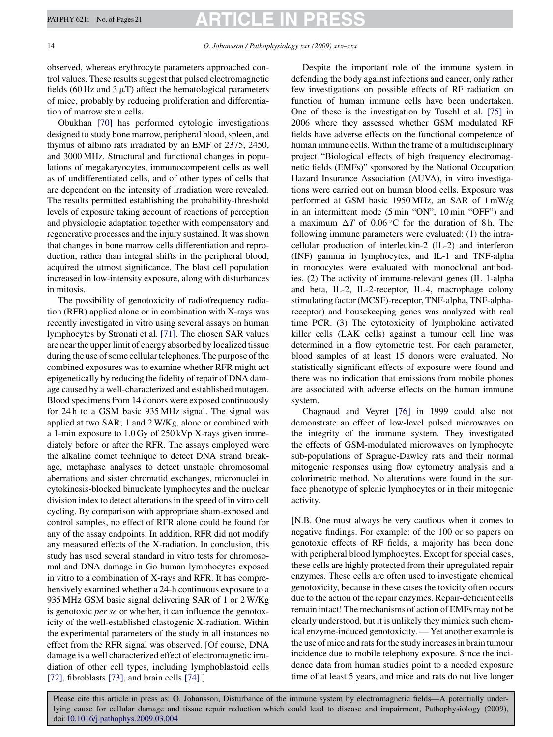observed, whereas erythrocyte parameters approached control values. These results suggest that pulsed electromagnetic fields (60 Hz and  $3 \mu$ T) affect the hematological parameters of mice, probably by reducing proliferation and differentiation of marrow stem cells.

Obukhan [\[70\]](#page-20-0) has performed cytologic investigations designed to study bone marrow, peripheral blood, spleen, and thymus of albino rats irradiated by an EMF of 2375, 2450, and 3000 MHz. Structural and functional changes in populations of megakaryocytes, immunocompetent cells as well as of undifferentiated cells, and of other types of cells that are dependent on the intensity of irradiation were revealed. The results permitted establishing the probability-threshold levels of exposure taking account of reactions of perception and physiologic adaptation together with compensatory and regenerative processes and the injury sustained. It was shown that changes in bone marrow cells differentiation and reproduction, rather than integral shifts in the peripheral blood, acquired the utmost significance. The blast cell population increased in low-intensity exposure, along with disturbances in mitosis.

The possibility of genotoxicity of radiofrequency radiation (RFR) applied alone or in combination with X-rays was recently investigated in vitro using several assays on human lymphocytes by Stronati et al. [\[71\].](#page-20-0) The chosen SAR values are near the upper limit of energy absorbed by localized tissue during the use of some cellular telephones. The purpose of the combined exposures was to examine whether RFR might act epigenetically by reducing the fidelity of repair of DNA damage caused by a well-characterized and established mutagen. Blood specimens from 14 donors were exposed continuously for 24 h to a GSM basic 935 MHz signal. The signal was applied at two SAR; 1 and 2 W/Kg, alone or combined with a 1-min exposure to 1.0 Gy of 250 kVp X-rays given immediately before or after the RFR. The assays employed were the alkaline comet technique to detect DNA strand breakage, metaphase analyses to detect unstable chromosomal aberrations and sister chromatid exchanges, micronuclei in cytokinesis-blocked binucleate lymphocytes and the nuclear division index to detect alterations in the speed of in vitro cell cycling. By comparison with appropriate sham-exposed and control samples, no effect of RFR alone could be found for any of the assay endpoints. In addition, RFR did not modify any measured effects of the X-radiation. In conclusion, this study has used several standard in vitro tests for chromosomal and DNA damage in Go human lymphocytes exposed in vitro to a combination of X-rays and RFR. It has comprehensively examined whether a 24-h continuous exposure to a 935 MHz GSM basic signal delivering SAR of 1 or 2 W/Kg is genotoxic *per se* or whether, it can influence the genotoxicity of the well-established clastogenic X-radiation. Within the experimental parameters of the study in all instances no effect from the RFR signal was observed. [Of course, DNA damage is a well characterized effect of electromagnetic irradiation of other cell types, including lymphoblastoid cells [\[72\],](#page-20-0) fibroblasts [\[73\], a](#page-20-0)nd brain cells [\[74\].\]](#page-20-0)

Despite the important role of the immune system in defending the body against infections and cancer, only rather few investigations on possible effects of RF radiation on function of human immune cells have been undertaken. One of these is the investigation by Tuschl et al. [\[75\]](#page-20-0) in 2006 where they assessed whether GSM modulated RF fields have adverse effects on the functional competence of human immune cells. Within the frame of a multidisciplinary project "Biological effects of high frequency electromagnetic fields (EMFs)" sponsored by the National Occupation Hazard Insurance Association (AUVA), in vitro investigations were carried out on human blood cells. Exposure was performed at GSM basic 1950 MHz, an SAR of 1 mW/g in an intermittent mode (5 min "ON", 10 min "OFF") and a maximum  $\Delta T$  of 0.06 °C for the duration of 8 h. The following immune parameters were evaluated: (1) the intracellular production of interleukin-2 (IL-2) and interferon (INF) gamma in lymphocytes, and IL-1 and TNF-alpha in monocytes were evaluated with monoclonal antibodies. (2) The activity of immune-relevant genes (IL 1-alpha and beta, IL-2, IL-2-receptor, IL-4, macrophage colony stimulating factor (MCSF)-receptor, TNF-alpha, TNF-alphareceptor) and housekeeping genes was analyzed with real time PCR. (3) The cytotoxicity of lymphokine activated killer cells (LAK cells) against a tumour cell line was determined in a flow cytometric test. For each parameter, blood samples of at least 15 donors were evaluated. No statistically significant effects of exposure were found and there was no indication that emissions from mobile phones are associated with adverse effects on the human immune system.

Chagnaud and Veyret [\[76\]](#page-20-0) in 1999 could also not demonstrate an effect of low-level pulsed microwaves on the integrity of the immune system. They investigated the effects of GSM-modulated microwaves on lymphocyte sub-populations of Sprague-Dawley rats and their normal mitogenic responses using flow cytometry analysis and a colorimetric method. No alterations were found in the surface phenotype of splenic lymphocytes or in their mitogenic activity.

[N.B. One must always be very cautious when it comes to negative findings. For example: of the 100 or so papers on genotoxic effects of RF fields, a majority has been done with peripheral blood lymphocytes. Except for special cases, these cells are highly protected from their upregulated repair enzymes. These cells are often used to investigate chemical genotoxicity, because in these cases the toxicity often occurs due to the action of the repair enzymes. Repair-deficient cells remain intact! The mechanisms of action of EMFs may not be clearly understood, but it is unlikely they mimick such chemical enzyme-induced genotoxicity. — Yet another example is the use of mice and rats for the study increases in brain tumour incidence due to mobile telephony exposure. Since the incidence data from human studies point to a needed exposure time of at least 5 years, and mice and rats do not live longer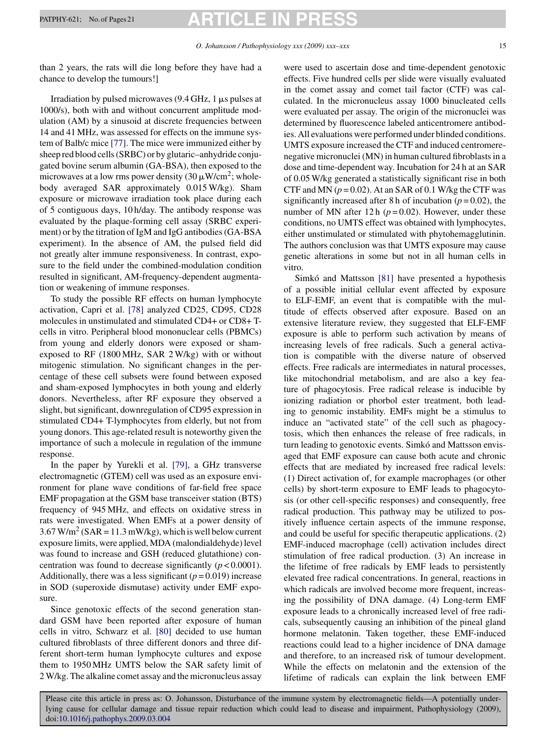# PATPHY-621; No. of Pages 21 **ARTICLE IN**

than 2 years, the rats will die long before they have had a chance to develop the tumours!]

Irradiation by pulsed microwaves  $(9.4 \text{ GHz}, 1 \mu s)$  pulses at 1000/s), both with and without concurrent amplitude modulation (AM) by a sinusoid at discrete frequencies between 14 and 41 MHz, was assessed for effects on the immune system of Balb/c mice [\[77\]. T](#page-20-0)he mice were immunized either by sheep red blood cells (SRBC) or by glutaric–anhydride conjugated bovine serum albumin (GA-BSA), then exposed to the microwaves at a low rms power density  $(30 \mu W/cm^2)$ ; wholebody averaged SAR approximately 0.015 W/kg). Sham exposure or microwave irradiation took place during each of 5 contiguous days, 10 h/day. The antibody response was evaluated by the plaque-forming cell assay (SRBC experiment) or by the titration of IgM and IgG antibodies (GA-BSA experiment). In the absence of AM, the pulsed field did not greatly alter immune responsiveness. In contrast, exposure to the field under the combined-modulation condition resulted in significant, AM-frequency-dependent augmentation or weakening of immune responses.

To study the possible RF effects on human lymphocyte activation, Capri et al. [\[78\]](#page-20-0) analyzed CD25, CD95, CD28 molecules in unstimulated and stimulated CD4+ or CD8+ Tcells in vitro. Peripheral blood mononuclear cells (PBMCs) from young and elderly donors were exposed or shamexposed to RF (1800 MHz, SAR 2 W/kg) with or without mitogenic stimulation. No significant changes in the percentage of these cell subsets were found between exposed and sham-exposed lymphocytes in both young and elderly donors. Nevertheless, after RF exposure they observed a slight, but significant, downregulation of CD95 expression in stimulated CD4+ T-lymphocytes from elderly, but not from young donors. This age-related result is noteworthy given the importance of such a molecule in regulation of the immune response.

In the paper by Yurekli et al. [\[79\],](#page-20-0) a GHz transverse electromagnetic (GTEM) cell was used as an exposure environment for plane wave conditions of far-field free space EMF propagation at the GSM base transceiver station (BTS) frequency of 945 MHz, and effects on oxidative stress in rats were investigated. When EMFs at a power density of  $3.67$  W/m<sup>2</sup> (SAR = 11.3 mW/kg), which is well below current exposure limits, were applied, MDA (malondialdehyde) level was found to increase and GSH (reduced glutathione) concentration was found to decrease significantly  $(p < 0.0001)$ . Additionally, there was a less significant  $(p = 0.019)$  increase in SOD (superoxide dismutase) activity under EMF exposure.

Since genotoxic effects of the second generation standard GSM have been reported after exposure of human cells in vitro, Schwarz et al. [\[80\]](#page-20-0) decided to use human cultured fibroblasts of three different donors and three different short-term human lymphocyte cultures and expose them to 1950 MHz UMTS below the SAR safety limit of 2 W/kg. The alkaline comet assay and the micronucleus assay

were used to ascertain dose and time-dependent genotoxic effects. Five hundred cells per slide were visually evaluated in the comet assay and comet tail factor (CTF) was calculated. In the micronucleus assay 1000 binucleated cells were evaluated per assay. The origin of the micronuclei was determined by fluorescence labeled anticentromere antibodies. All evaluations were performed under blinded conditions. UMTS exposure increased the CTF and induced centromerenegative micronuclei (MN) in human cultured fibroblasts in a dose and time-dependent way. Incubation for 24 h at an SAR of 0.05 W/kg generated a statistically significant rise in both CTF and MN  $(p = 0.02)$ . At an SAR of 0.1 W/kg the CTF was significantly increased after 8 h of incubation  $(p=0.02)$ , the number of MN after 12 h  $(p=0.02)$ . However, under these conditions, no UMTS effect was obtained with lymphocytes, either unstimulated or stimulated with phytohemagglutinin. The authors conclusion was that UMTS exposure may cause genetic alterations in some but not in all human cells in vitro.

Simkó and Mattsson [\[81\]](#page-20-0) have presented a hypothesis of a possible initial cellular event affected by exposure to ELF-EMF, an event that is compatible with the multitude of effects observed after exposure. Based on an extensive literature review, they suggested that ELF-EMF exposure is able to perform such activation by means of increasing levels of free radicals. Such a general activation is compatible with the diverse nature of observed effects. Free radicals are intermediates in natural processes, like mitochondrial metabolism, and are also a key feature of phagocytosis. Free radical release is inducible by ionizing radiation or phorbol ester treatment, both leading to genomic instability. EMFs might be a stimulus to induce an "activated state" of the cell such as phagocytosis, which then enhances the release of free radicals, in turn leading to genotoxic events. Simkó and Mattsson envisaged that EMF exposure can cause both acute and chronic effects that are mediated by increased free radical levels: (1) Direct activation of, for example macrophages (or other cells) by short-term exposure to EMF leads to phagocytosis (or other cell-specific responses) and consequently, free radical production. This pathway may be utilized to positively influence certain aspects of the immune response, and could be useful for specific therapeutic applications. (2) EMF-induced macrophage (cell) activation includes direct stimulation of free radical production. (3) An increase in the lifetime of free radicals by EMF leads to persistently elevated free radical concentrations. In general, reactions in which radicals are involved become more frequent, increasing the possibility of DNA damage. (4) Long-term EMF exposure leads to a chronically increased level of free radicals, subsequently causing an inhibition of the pineal gland hormone melatonin. Taken together, these EMF-induced reactions could lead to a higher incidence of DNA damage and therefore, to an increased risk of tumour development. While the effects on melatonin and the extension of the lifetime of radicals can explain the link between EMF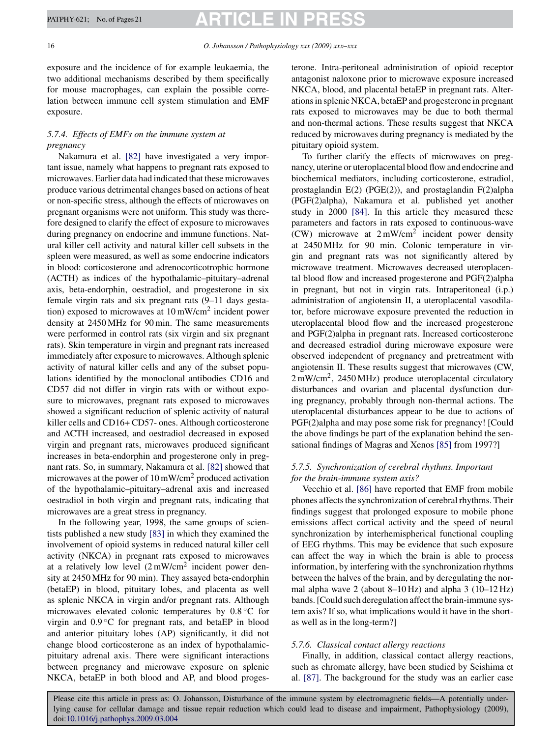exposure and the incidence of for example leukaemia, the two additional mechanisms described by them specifically for mouse macrophages, can explain the possible correlation between immune cell system stimulation and EMF exposure.

# *5.7.4. Effects of EMFs on the immune system at pregnancy*

Nakamura et al. [\[82\]](#page-20-0) have investigated a very important issue, namely what happens to pregnant rats exposed to microwaves. Earlier data had indicated that these microwaves produce various detrimental changes based on actions of heat or non-specific stress, although the effects of microwaves on pregnant organisms were not uniform. This study was therefore designed to clarify the effect of exposure to microwaves during pregnancy on endocrine and immune functions. Natural killer cell activity and natural killer cell subsets in the spleen were measured, as well as some endocrine indicators in blood: corticosterone and adrenocorticotrophic hormone (ACTH) as indices of the hypothalamic–pituitary–adrenal axis, beta-endorphin, oestradiol, and progesterone in six female virgin rats and six pregnant rats (9–11 days gestation) exposed to microwaves at 10 mW/cm<sup>2</sup> incident power density at 2450 MHz for 90 min. The same measurements were performed in control rats (six virgin and six pregnant rats). Skin temperature in virgin and pregnant rats increased immediately after exposure to microwaves. Although splenic activity of natural killer cells and any of the subset populations identified by the monoclonal antibodies CD16 and CD57 did not differ in virgin rats with or without exposure to microwaves, pregnant rats exposed to microwaves showed a significant reduction of splenic activity of natural killer cells and CD16+ CD57- ones. Although corticosterone and ACTH increased, and oestradiol decreased in exposed virgin and pregnant rats, microwaves produced significant increases in beta-endorphin and progesterone only in pregnant rats. So, in summary, Nakamura et al. [\[82\]](#page-20-0) showed that microwaves at the power of 10 mW/cm<sup>2</sup> produced activation of the hypothalamic–pituitary–adrenal axis and increased oestradiol in both virgin and pregnant rats, indicating that microwaves are a great stress in pregnancy.

In the following year, 1998, the same groups of scientists published a new study [\[83\]](#page-20-0) in which they examined the involvement of opioid systems in reduced natural killer cell activity (NKCA) in pregnant rats exposed to microwaves at a relatively low level  $(2 \text{ mW/cm}^2$  incident power density at 2450 MHz for 90 min). They assayed beta-endorphin (betaEP) in blood, pituitary lobes, and placenta as well as splenic NKCA in virgin and/or pregnant rats. Although microwaves elevated colonic temperatures by 0.8 ◦C for virgin and  $0.9\degree$ C for pregnant rats, and betaEP in blood and anterior pituitary lobes (AP) significantly, it did not change blood corticosterone as an index of hypothalamicpituitary adrenal axis. There were significant interactions between pregnancy and microwave exposure on splenic NKCA, betaEP in both blood and AP, and blood progesterone. Intra-peritoneal administration of opioid receptor antagonist naloxone prior to microwave exposure increased NKCA, blood, and placental betaEP in pregnant rats. Alterations in splenic NKCA, betaEP and progesterone in pregnant rats exposed to microwaves may be due to both thermal and non-thermal actions. These results suggest that NKCA reduced by microwaves during pregnancy is mediated by the pituitary opioid system.

To further clarify the effects of microwaves on pregnancy, uterine or uteroplacental blood flow and endocrine and biochemical mediators, including corticosterone, estradiol, prostaglandin E(2) (PGE(2)), and prostaglandin F(2)alpha (PGF(2)alpha), Nakamura et al. published yet another study in 2000 [\[84\].](#page-20-0) In this article they measured these parameters and factors in rats exposed to continuous-wave (CW) microwave at 2 mW/cm<sup>2</sup> incident power density at 2450 MHz for 90 min. Colonic temperature in virgin and pregnant rats was not significantly altered by microwave treatment. Microwaves decreased uteroplacental blood flow and increased progesterone and PGF(2)alpha in pregnant, but not in virgin rats. Intraperitoneal (i.p.) administration of angiotensin II, a uteroplacental vasodilator, before microwave exposure prevented the reduction in uteroplacental blood flow and the increased progesterone and PGF(2)alpha in pregnant rats. Increased corticosterone and decreased estradiol during microwave exposure were observed independent of pregnancy and pretreatment with angiotensin II. These results suggest that microwaves (CW,  $2 \text{ mW/cm}^2$ ,  $2450 \text{ MHz}$ ) produce uteroplacental circulatory disturbances and ovarian and placental dysfunction during pregnancy, probably through non-thermal actions. The uteroplacental disturbances appear to be due to actions of PGF(2)alpha and may pose some risk for pregnancy! [Could the above findings be part of the explanation behind the sensational findings of Magras and Xenos [\[85\]](#page-20-0) from 1997?]

## *5.7.5. Synchronization of cerebral rhythms. Important for the brain-immune system axis?*

Vecchio et al. [\[86\]](#page-20-0) have reported that EMF from mobile phones affects the synchronization of cerebral rhythms. Their findings suggest that prolonged exposure to mobile phone emissions affect cortical activity and the speed of neural synchronization by interhemispherical functional coupling of EEG rhythms. This may be evidence that such exposure can affect the way in which the brain is able to process information, by interfering with the synchronization rhythms between the halves of the brain, and by deregulating the normal alpha wave 2 (about  $8-10$  Hz) and alpha 3 (10–12 Hz) bands. [Could such deregulation affect the brain-immune system axis? If so, what implications would it have in the shortas well as in the long-term?]

### *5.7.6. Classical contact allergy reactions*

Finally, in addition, classical contact allergy reactions, such as chromate allergy, have been studied by Seishima et al. [\[87\].](#page-20-0) The background for the study was an earlier case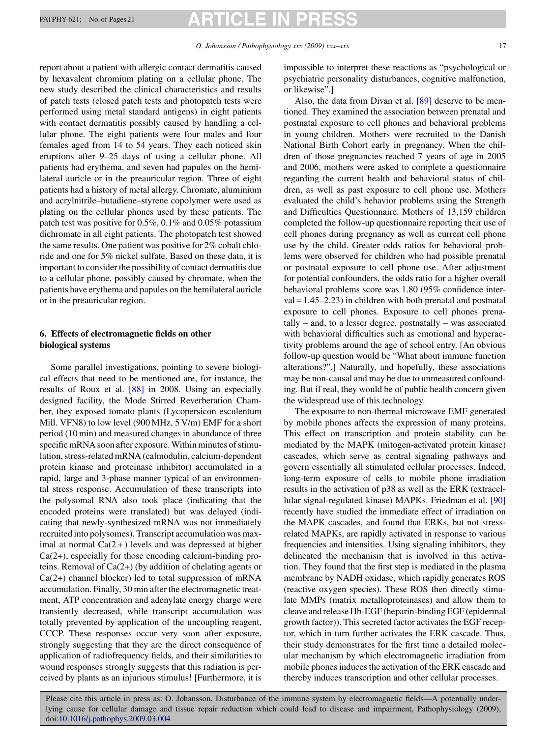report about a patient with allergic contact dermatitis caused by hexavalent chromium plating on a cellular phone. The new study described the clinical characteristics and results of patch tests (closed patch tests and photopatch tests were performed using metal standard antigens) in eight patients with contact dermatitis possibly caused by handling a cellular phone. The eight patients were four males and four females aged from 14 to 54 years. They each noticed skin eruptions after 9–25 days of using a cellular phone. All patients had erythema, and seven had papules on the hemilateral auricle or in the preauricular region. Three of eight patients had a history of metal allergy. Chromate, aluminium and acrylnitrile–butadiene–styrene copolymer were used as plating on the cellular phones used by these patients. The patch test was positive for 0.5%, 0.1% and 0.05% potassium dichromate in all eight patients. The photopatch test showed the same results. One patient was positive for 2% cobalt chloride and one for 5% nickel sulfate. Based on these data, it is important to consider the possibility of contact dermatitis due to a cellular phone, possibly caused by chromate, when the patients have erythema and papules on the hemilateral auricle or in the preauricular region.

# **6. Effects of electromagnetic fields on other biological systems**

Some parallel investigations, pointing to severe biological effects that need to be mentioned are, for instance, the results of Roux et al. [\[88\]](#page-20-0) in 2008. Using an especially designed facility, the Mode Stirred Reverberation Chamber, they exposed tomato plants (Lycopersicon esculentum Mill. VFN8) to low level (900 MHz, 5 V/m) EMF for a short period (10 min) and measured changes in abundance of three specific mRNA soon after exposure. Within minutes of stimulation, stress-related mRNA (calmodulin, calcium-dependent protein kinase and proteinase inhibitor) accumulated in a rapid, large and 3-phase manner typical of an environmental stress response. Accumulation of these transcripts into the polysomal RNA also took place (indicating that the encoded proteins were translated) but was delayed (indicating that newly-synthesized mRNA was not immediately recruited into polysomes). Transcript accumulation was maximal at normal  $Ca(2+)$  levels and was depressed at higher Ca(2+), especially for those encoding calcium-binding proteins. Removal of Ca(2+) (by addition of chelating agents or Ca(2+) channel blocker) led to total suppression of mRNA accumulation. Finally, 30 min after the electromagnetic treatment, ATP concentration and adenylate energy charge were transiently decreased, while transcript accumulation was totally prevented by application of the uncoupling reagent, CCCP. These responses occur very soon after exposure, strongly suggesting that they are the direct consequence of application of radiofrequency fields, and their similarities to wound responses strongly suggests that this radiation is perceived by plants as an injurious stimulus! [Furthermore, it is impossible to interpret these reactions as "psychological or psychiatric personality disturbances, cognitive malfunction, or likewise".]

Also, the data from Divan et al. [\[89\]](#page-20-0) deserve to be mentioned. They examined the association between prenatal and postnatal exposure to cell phones and behavioral problems in young children. Mothers were recruited to the Danish National Birth Cohort early in pregnancy. When the children of those pregnancies reached 7 years of age in 2005 and 2006, mothers were asked to complete a questionnaire regarding the current health and behavioral status of children, as well as past exposure to cell phone use. Mothers evaluated the child's behavior problems using the Strength and Difficulties Questionnaire. Mothers of 13,159 children completed the follow-up questionnaire reporting their use of cell phones during pregnancy as well as current cell phone use by the child. Greater odds ratios for behavioral problems were observed for children who had possible prenatal or postnatal exposure to cell phone use. After adjustment for potential confounders, the odds ratio for a higher overall behavioral problems score was 1.80 (95% confidence inter $val = 1.45 - 2.23$  in children with both prenatal and postnatal exposure to cell phones. Exposure to cell phones prenatally – and, to a lesser degree, postnatally – was associated with behavioral difficulties such as emotional and hyperactivity problems around the age of school entry. [An obvious follow-up question would be "What about immune function alterations?".] Naturally, and hopefully, these associations may be non-causal and may be due to unmeasured confounding. But if real, they would be of public health concern given the widespread use of this technology.

The exposure to non-thermal microwave EMF generated by mobile phones affects the expression of many proteins. This effect on transcription and protein stability can be mediated by the MAPK (mitogen-activated protein kinase) cascades, which serve as central signaling pathways and govern essentially all stimulated cellular processes. Indeed, long-term exposure of cells to mobile phone irradiation results in the activation of p38 as well as the ERK (extracellular signal-regulated kinase) MAPKs. Friedman et al. [\[90\]](#page-20-0) recently have studied the immediate effect of irradiation on the MAPK cascades, and found that ERKs, but not stressrelated MAPKs, are rapidly activated in response to various frequencies and intensities. Using signaling inhibitors, they delineated the mechanism that is involved in this activation. They found that the first step is mediated in the plasma membrane by NADH oxidase, which rapidly generates ROS (reactive oxygen species). These ROS then directly stimulate MMPs (matrix metalloproteinases) and allow them to cleave and release Hb-EGF (heparin-binding EGF (epidermal growth factor)). This secreted factor activates the EGF receptor, which in turn further activates the ERK cascade. Thus, their study demonstrates for the first time a detailed molecular mechanism by which electromagnetic irradiation from mobile phones induces the activation of the ERK cascade and thereby induces transcription and other cellular processes.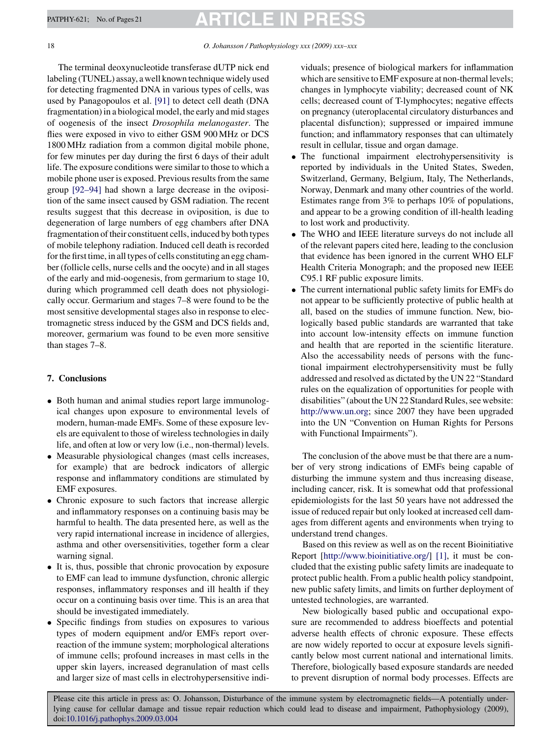The terminal deoxynucleotide transferase dUTP nick end labeling (TUNEL) assay, a well known technique widely used for detecting fragmented DNA in various types of cells, was used by Panagopoulos et al. [\[91\]](#page-20-0) to detect cell death (DNA fragmentation) in a biological model, the early and mid stages of oogenesis of the insect *Drosophila melanogaster*. The flies were exposed in vivo to either GSM 900 MHz or DCS 1800 MHz radiation from a common digital mobile phone, for few minutes per day during the first 6 days of their adult life. The exposure conditions were similar to those to which a mobile phone user is exposed. Previous results from the same group [\[92–94\]](#page-20-0) had shown a large decrease in the oviposition of the same insect caused by GSM radiation. The recent results suggest that this decrease in oviposition, is due to degeneration of large numbers of egg chambers after DNA fragmentation of their constituent cells, induced by both types of mobile telephony radiation. Induced cell death is recorded for the first time, in all types of cells constituting an egg chamber (follicle cells, nurse cells and the oocyte) and in all stages of the early and mid-oogenesis, from germarium to stage 10, during which programmed cell death does not physiologically occur. Germarium and stages 7–8 were found to be the most sensitive developmental stages also in response to electromagnetic stress induced by the GSM and DCS fields and, moreover, germarium was found to be even more sensitive than stages 7–8.

## **7. Conclusions**

- Both human and animal studies report large immunological changes upon exposure to environmental levels of modern, human-made EMFs. Some of these exposure levels are equivalent to those of wireless technologies in daily life, and often at low or very low (i.e., non-thermal) levels.
- Measurable physiological changes (mast cells increases, for example) that are bedrock indicators of allergic response and inflammatory conditions are stimulated by EMF exposures.
- Chronic exposure to such factors that increase allergic and inflammatory responses on a continuing basis may be harmful to health. The data presented here, as well as the very rapid international increase in incidence of allergies, asthma and other oversensitivities, together form a clear warning signal.
- It is, thus, possible that chronic provocation by exposure to EMF can lead to immune dysfunction, chronic allergic responses, inflammatory responses and ill health if they occur on a continuing basis over time. This is an area that should be investigated immediately.
- Specific findings from studies on exposures to various types of modern equipment and/or EMFs report overreaction of the immune system; morphological alterations of immune cells; profound increases in mast cells in the upper skin layers, increased degranulation of mast cells and larger size of mast cells in electrohypersensitive indi-

viduals; presence of biological markers for inflammation which are sensitive to EMF exposure at non-thermal levels; changes in lymphocyte viability; decreased count of NK cells; decreased count of T-lymphocytes; negative effects on pregnancy (uteroplacental circulatory disturbances and placental disfunction); suppressed or impaired immune function; and inflammatory responses that can ultimately result in cellular, tissue and organ damage.

- The functional impairment electrohypersensitivity is reported by individuals in the United States, Sweden, Switzerland, Germany, Belgium, Italy, The Netherlands, Norway, Denmark and many other countries of the world. Estimates range from 3% to perhaps 10% of populations, and appear to be a growing condition of ill-health leading to lost work and productivity.
- The WHO and IEEE literature surveys do not include all of the relevant papers cited here, leading to the conclusion that evidence has been ignored in the current WHO ELF Health Criteria Monograph; and the proposed new IEEE C95.1 RF public exposure limits.
- The current international public safety limits for EMFs do not appear to be sufficiently protective of public health at all, based on the studies of immune function. New, biologically based public standards are warranted that take into account low-intensity effects on immune function and health that are reported in the scientific literature. Also the accessability needs of persons with the functional impairment electrohypersensitivity must be fully addressed and resolved as dictated by the UN 22 "Standard rules on the equalization of opportunities for people with disabilities" (about the UN 22 Standard Rules, see website: [http://www.un.org;](http://www.un.org/) since 2007 they have been upgraded into the UN "Convention on Human Rights for Persons with Functional Impairments").

The conclusion of the above must be that there are a number of very strong indications of EMFs being capable of disturbing the immune system and thus increasing disease, including cancer, risk. It is somewhat odd that professional epidemiologists for the last 50 years have not addressed the issue of reduced repair but only looked at increased cell damages from different agents and environments when trying to understand trend changes.

Based on this review as well as on the recent Bioinitiative Report [[http://www.bioinitiative.org/\]](http://www.bioinitiative.org/) [\[1\],](#page-18-0) it must be concluded that the existing public safety limits are inadequate to protect public health. From a public health policy standpoint, new public safety limits, and limits on further deployment of untested technologies, are warranted.

New biologically based public and occupational exposure are recommended to address bioeffects and potential adverse health effects of chronic exposure. These effects are now widely reported to occur at exposure levels significantly below most current national and international limits. Therefore, biologically based exposure standards are needed to prevent disruption of normal body processes. Effects are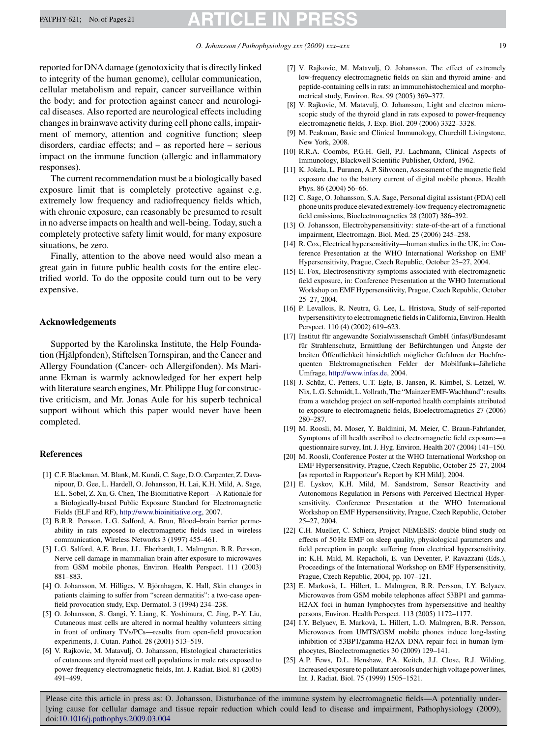# <span id="page-18-0"></span>PATPHY-621; No. of Pages 21 **ARTICLE I**

reported for DNA damage (genotoxicity that is directly linked to integrity of the human genome), cellular communication, cellular metabolism and repair, cancer surveillance within the body; and for protection against cancer and neurological diseases. Also reported are neurological effects including changes in brainwave activity during cell phone calls, impairment of memory, attention and cognitive function; sleep disorders, cardiac effects; and – as reported here – serious impact on the immune function (allergic and inflammatory responses).

The current recommendation must be a biologically based exposure limit that is completely protective against e.g. extremely low frequency and radiofrequency fields which, with chronic exposure, can reasonably be presumed to result in no adverse impacts on health and well-being. Today, such a completely protective safety limit would, for many exposure situations, be zero.

Finally, attention to the above need would also mean a great gain in future public health costs for the entire electrified world. To do the opposite could turn out to be very expensive.

### **Acknowledgements**

Supported by the Karolinska Institute, the Help Foundation (Hjälpfonden), Stiftelsen Tornspiran, and the Cancer and Allergy Foundation (Cancer- och Allergifonden). Ms Marianne Ekman is warmly acknowledged for her expert help with literature search engines, Mr. Philippe Hug for constructive criticism, and Mr. Jonas Aule for his superb technical support without which this paper would never have been completed.

### **References**

- [1] C.F. Blackman, M. Blank, M. Kundi, C. Sage, D.O. Carpenter, Z. Davanipour, D. Gee, L. Hardell, O. Johansson, H. Lai, K.H. Mild, A. Sage, E.L. Sobel, Z. Xu, G. Chen, The Bioinitiative Report—A Rationale for a Biologically-based Public Exposure Standard for Electromagnetic Fields (ELF and RF), [http://www.bioinitiative.org](http://www.bioinitiative.org/), 2007.
- [2] B.R.R. Persson, L.G. Salford, A. Brun, Blood–brain barrier permeability in rats exposed to electromagnetic fields used in wireless communication, Wireless Networks 3 (1997) 455–461.
- [3] L.G. Salford, A.E. Brun, J.L. Eberhardt, L. Malmgren, B.R. Persson, Nerve cell damage in mammalian brain after exposure to microwaves from GSM mobile phones, Environ. Health Perspect. 111 (2003) 881–883.
- [4] O. Johansson, M. Hilliges, V. Björnhagen, K. Hall, Skin changes in patients claiming to suffer from "screen dermatitis": a two-case openfield provocation study, Exp. Dermatol. 3 (1994) 234–238.
- [5] O. Johansson, S. Gangi, Y. Liang, K. Yoshimura, C. Jing, P.-Y. Liu, Cutaneous mast cells are altered in normal healthy volunteers sitting in front of ordinary TVs/PCs—results from open-field provocation experiments, J. Cutan. Pathol. 28 (2001) 513–519.
- [6] V. Rajkovic, M. Matavulj, O. Johansson, Histological characteristics of cutaneous and thyroid mast cell populations in male rats exposed to power-frequency electromagnetic fields, Int. J. Radiat. Biol. 81 (2005) 491–499.
- [7] V. Rajkovic, M. Matavulj, O. Johansson, The effect of extremely low-frequency electromagnetic fields on skin and thyroid amine- and peptide-containing cells in rats: an immunohistochemical and morphometrical study, Environ. Res. 99 (2005) 369–377.
- [8] V. Rajkovic, M. Matavulj, O. Johansson, Light and electron microscopic study of the thyroid gland in rats exposed to power-frequency electromagnetic fields, J. Exp. Biol. 209 (2006) 3322–3328.
- [9] M. Peakman, Basic and Clinical Immunology, Churchill Livingstone, New York, 2008.
- [10] R.R.A. Coombs, P.G.H. Gell, P.J. Lachmann, Clinical Aspects of Immunology, Blackwell Scientific Publisher, Oxford, 1962.
- [11] K. Jokela, L. Puranen, A.P. Sihvonen, Assessment of the magnetic field exposure due to the battery current of digital mobile phones, Health Phys. 86 (2004) 56–66.
- [12] C. Sage, O. Johansson, S.A. Sage, Personal digital assistant (PDA) cell phone units produce elevated extremely-low frequency electromagnetic field emissions, Bioelectromagnetics 28 (2007) 386–392.
- [13] O. Johansson, Electrohypersensitivity: state-of-the-art of a functional impairment, Electromagn. Biol. Med. 25 (2006) 245–258.
- [14] R. Cox, Electrical hypersensitivity—human studies in the UK, in: Conference Presentation at the WHO International Workshop on EMF Hypersensitivity, Prague, Czech Republic, October 25–27, 2004.
- [15] E. Fox, Electrosensitivity symptoms associated with electromagnetic field exposure, in: Conference Presentation at the WHO International Workshop on EMF Hypersensitivity, Prague, Czech Republic, October 25–27, 2004.
- [16] P. Levallois, R. Neutra, G. Lee, L. Hristova, Study of self-reported hypersensitivity to electromagnetic fields in California, Environ. Health Perspect. 110 (4) (2002) 619–623.
- [17] Institut für angewandte Sozialwissenschaft GmbH (infas)/Bundesamt für Strahlenschutz, Ermittlung der Befürchtungen und Ängste der breiten Öffentlichkeit hinsichtlich möglicher Gefahren der Hochfrequenten Elektromagnetischen Felder der Mobilfunks–Jährliche Umfrage, [http://www.infas.de,](http://www.infas.de/) 2004.
- [18] J. Schüz, C. Petters, U.T. Egle, B. Jansen, R. Kimbel, S. Letzel, W. Nix, L.G. Schmidt, L. Vollrath, The "Mainzer EMF-Wachhund": results from a watchdog project on self-reported health complaints attributed to exposure to electromagnetic fields, Bioelectromagnetics 27 (2006) 280–287.
- [19] M. Roosli, M. Moser, Y. Baldinini, M. Meier, C. Braun-Fahrlander, Symptoms of ill health ascribed to electromagnetic field exposure—a questionnaire survey, Int. J. Hyg. Environ. Health 207 (2004) 141–150.
- [20] M. Roosli, Conference Poster at the WHO International Workshop on EMF Hypersensitivity, Prague, Czech Republic, October 25–27, 2004 [as reported in Rapporteur's Report by KH Mild], 2004.
- [21] E. Lyskov, K.H. Mild, M. Sandstrom, Sensor Reactivity and Autonomous Regulation in Persons with Perceived Electrical Hypersensitivity. Conference Presentation at the WHO International Workshop on EMF Hypersensitivity, Prague, Czech Republic, October 25–27, 2004.
- [22] C.H. Mueller, C. Schierz, Project NEMESIS: double blind study on effects of 50 Hz EMF on sleep quality, physiological parameters and field perception in people suffering from electrical hypersensitivity, in: K.H. Mild, M. Repacholi, E. van Deventer, P. Ravazzani (Eds.), Proceedings of the International Workshop on EMF Hypersensitivity, Prague, Czech Republic, 2004, pp. 107–121.
- [23] E. Markovà, L. Hillert, L. Malmgren, B.R. Persson, I.Y. Belyaev, Microwaves from GSM mobile telephones affect 53BP1 and gamma-H2AX foci in human lymphocytes from hypersensitive and healthy persons, Environ. Health Perspect. 113 (2005) 1172–1177.
- [24] I.Y. Belyaev, E. Markovà, L. Hillert, L.O. Malmgren, B.R. Persson, Microwaves from UMTS/GSM mobile phones induce long-lasting inhibition of 53BP1/gamma-H2AX DNA repair foci in human lymphocytes, Bioelectromagnetics 30 (2009) 129–141.
- [25] A.P. Fews, D.L. Henshaw, P.A. Keitch, J.J. Close, R.J. Wilding, Increased exposure to pollutant aerosols under high voltage power lines, Int. J. Radiat. Biol. 75 (1999) 1505–1521.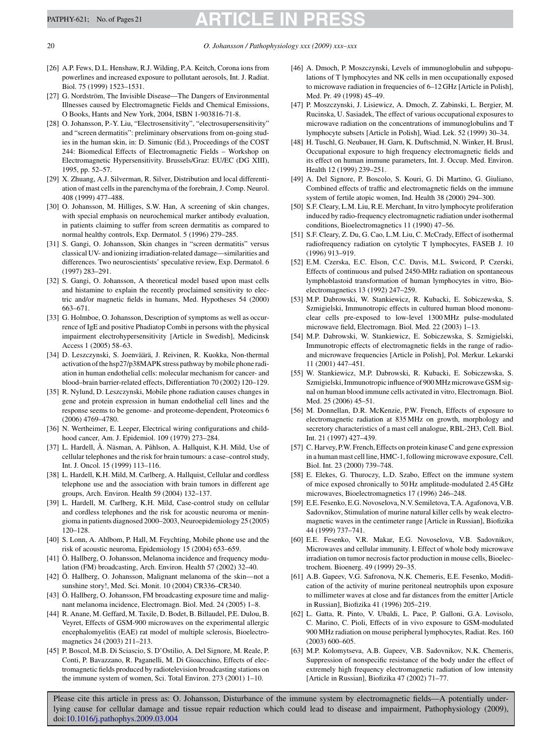- [26] A.P. Fews, D.L. Henshaw, R.J. Wilding, P.A. Keitch, Corona ions from powerlines and increased exposure to pollutant aerosols, Int. J. Radiat. Biol. 75 (1999) 1523–1531.
- [27] G. Nordström, The Invisible Disease—The Dangers of Environmental Illnesses caused by Electromagnetic Fields and Chemical Emissions, O Books, Hants and New York, 2004, ISBN 1-903816-71-8.
- [28] O. Johansson, P.-Y. Liu, "Electrosensitivity", "electrosupersensitivity" and "screen dermatitis": preliminary observations from on-going studies in the human skin, in: D. Simunic (Ed.), Proceedings of the COST 244: Biomedical Effects of Electromagnetic Fields – Workshop on Electromagnetic Hypersensitivity. Brussels/Graz: EU/EC (DG XIII), 1995, pp. 52–57.
- [29] X. Zhuang, A.J. Silverman, R. Silver, Distribution and local differentiation of mast cells in the parenchyma of the forebrain, J. Comp. Neurol. 408 (1999) 477–488.
- [30] O. Johansson, M. Hilliges, S.W. Han, A screening of skin changes, with special emphasis on neurochemical marker antibody evaluation, in patients claiming to suffer from screen dermatitis as compared to normal healthy controls, Exp. Dermatol. 5 (1996) 279–285.
- [31] S. Gangi, O. Johansson, Skin changes in "screen dermatitis" versus classical UV- and ionizing irradiation-related damage—similarities and differences. Two neuroscientists' speculative review, Exp. Dermatol. 6 (1997) 283–291.
- [32] S. Gangi, O. Johansson, A theoretical model based upon mast cells and histamine to explain the recently proclaimed sensitivity to electric and/or magnetic fields in humans, Med. Hypotheses 54 (2000) 663–671.
- [33] G. Holmboe, O. Johansson, Description of symptoms as well as occurrence of IgE and positive Phadiatop Combi in persons with the physical impairment electrohypersensitivity [Article in Swedish], Medicinsk Access 1 (2005) 58–63.
- [34] D. Leszczynski, S. Joenväärä, J. Reivinen, R. Kuokka, Non-thermal activation of the hsp27/p38MAPK stress pathway by mobile phone radiation in human endothelial cells: molecular mechanism for cancer- and blood–brain barrier-related effects, Differentiation 70 (2002) 120–129.
- [35] R. Nylund, D. Leszczynski, Mobile phone radiation causes changes in gene and protein expression in human endothelial cell lines and the response seems to be genome- and proteome-dependent, Proteomics 6 (2006) 4769–4780.
- [36] N. Wertheimer, E. Leeper, Electrical wiring configurations and childhood cancer, Am. J. Epidemiol. 109 (1979) 273–284.
- [37] L. Hardell, Å. Näsman, A. Påhlson, A. Hallquist, K.H. Mild, Use of cellular telephones and the risk for brain tumours: a case–control study, Int. J. Oncol. 15 (1999) 113–116.
- [38] L. Hardell, K.H. Mild, M. Carlberg, A. Hallquist, Cellular and cordless telephone use and the association with brain tumors in different age groups, Arch. Environ. Health 59 (2004) 132–137.
- [39] L. Hardell, M. Carlberg, K.H. Mild, Case-control study on cellular and cordless telephones and the risk for acoustic neuroma or meningioma in patients diagnosed 2000–2003, Neuroepidemiology 25 (2005) 120–128.
- [40] S. Lonn, A. Ahlbom, P. Hall, M. Feychting, Mobile phone use and the risk of acoustic neuroma, Epidemiology 15 (2004) 653–659.
- [41] Ö. Hallberg, O. Johansson, Melanoma incidence and frequency modulation (FM) broadcasting, Arch. Environ. Health 57 (2002) 32–40.
- [42] Ö. Hallberg, O. Johansson, Malignant melanoma of the skin—not a sunshine story!, Med. Sci. Monit. 10 (2004) CR336–CR340.
- [43] Ö. Hallberg, O. Johansson, FM broadcasting exposure time and malignant melanoma incidence, Electromagn. Biol. Med. 24 (2005) 1–8.
- [44] R. Anane, M. Geffard, M. Taxile, D. Bodet, B. Billaudel, P.E. Dulou, B. Veyret, Effects of GSM-900 microwaves on the experimental allergic encephalomyelitis (EAE) rat model of multiple sclerosis, Bioelectromagnetics 24 (2003) 211–213.
- [45] P. Boscol, M.B. Di Sciascio, S. D'Ostilio, A. Del Signore, M. Reale, P. Conti, P. Bavazzano, R. Paganelli, M. Di Gioacchino, Effects of electromagnetic fields produced by radiotelevision broadcasting stations on the immune system of women, Sci. Total Environ. 273 (2001) 1–10.
- [46] A. Dmoch, P. Moszczynski, Levels of immunoglobulin and subpopulations of T lymphocytes and NK cells in men occupationally exposed to microwave radiation in frequencies of 6–12 GHz [Article in Polish], Med. Pr. 49 (1998) 45–49.
- [47] P. Moszczynski, J. Lisiewicz, A. Dmoch, Z. Zabinski, L. Bergier, M. Rucinska, U. Sasiadek, The effect of various occupational exposures to microwave radiation on the concentrations of immunoglobulins and T lymphocyte subsets [Article in Polish], Wiad. Lek. 52 (1999) 30–34.
- [48] H. Tuschl, G. Neubauer, H. Garn, K. Duftschmid, N. Winker, H. Brusl, Occupational exposure to high frequency electromagnetic fields and its effect on human immune parameters, Int. J. Occup. Med. Environ. Health 12 (1999) 239–251.
- [49] A. Del Signore, P. Boscolo, S. Kouri, G. Di Martino, G. Giuliano, Combined effects of traffic and electromagnetic fields on the immune system of fertile atopic women, Ind. Health 38 (2000) 294–300.
- [50] S.F. Cleary, L.M. Liu, R.E. Merchant, In vitro lymphocyte proliferation induced by radio-frequency electromagnetic radiation under isothermal conditions, Bioelectromagnetics 11 (1990) 47–56.
- [51] S.F. Cleary, Z. Du, G. Cao, L.M. Liu, C. McCrady, Effect of isothermal radiofrequency radiation on cytolytic T lymphocytes, FASEB J. 10 (1996) 913–919.
- [52] E.M. Czerska, E.C. Elson, C.C. Davis, M.L. Swicord, P. Czerski, Effects of continuous and pulsed 2450-MHz radiation on spontaneous lymphoblastoid transformation of human lymphocytes in vitro, Bioelectromagnetics 13 (1992) 247–259.
- [53] M.P. Dabrowski, W. Stankiewicz, R. Kubacki, E. Sobiczewska, S. Szmigielski, Immunotropic effects in cultured human blood mononuclear cells pre-exposed to low-level 1300 MHz pulse-modulated microwave field, Electromagn. Biol. Med. 22 (2003) 1–13.
- [54] M.P. Dabrowski, W. Stankiewicz, E. Sobiczewska, S. Szmigielski, Immunotropic effects of electromagnetic fields in the range of radioand microwave frequencies [Article in Polish], Pol. Merkur. Lekarski 11 (2001) 447–451.
- [55] W. Stankiewicz, M.P. Dabrowski, R. Kubacki, E. Sobiczewska, S. Szmigielski, Immunotropic influence of 900 MHz microwave GSM signal on human blood immune cells activated in vitro, Electromagn. Biol. Med. 25 (2006) 45–51.
- [56] M. Donnellan, D.R. McKenzie, P.W. French, Effects of exposure to electromagnetic radiation at 835 MHz on growth, morphology and secretory characteristics of a mast cell analogue, RBL-2H3, Cell. Biol. Int. 21 (1997) 427–439.
- [57] C. Harvey, P.W. French, Effects on protein kinase C and gene expression in a human mast cell line, HMC-1, following microwave exposure, Cell. Biol. Int. 23 (2000) 739–748.
- [58] E. Elekes, G. Thuroczy, L.D. Szabo, Effect on the immune system of mice exposed chronically to 50 Hz amplitude-modulated 2.45 GHz microwaves, Bioelectromagnetics 17 (1996) 246–248.
- [59] E.E. Fesenko, E.G. Novoselova, N.V. Semiletova, T.A. Agafonova, V.B. Sadovnikov, Stimulation of murine natural killer cells by weak electromagnetic waves in the centimeter range [Article in Russian], Biofizika 44 (1999) 737–741.
- [60] E.E. Fesenko, V.R. Makar, E.G. Novoselova, V.B. Sadovnikov, Microwaves and cellular immunity. I. Effect of whole body microwave irradiation on tumor necrosis factor production in mouse cells, Bioelectrochem. Bioenerg. 49 (1999) 29–35.
- [61] A.B. Gapeev, V.G. Safronova, N.K. Chemeris, E.E. Fesenko, Modification of the activity of murine peritoneal neutrophils upon exposure to millimeter waves at close and far distances from the emitter [Article in Russian], Biofizika 41 (1996) 205–219.
- [62] L. Gatta, R. Pinto, V. Ubaldi, L. Pace, P. Galloni, G.A. Lovisolo, C. Marino, C. Pioli, Effects of in vivo exposure to GSM-modulated 900 MHz radiation on mouse peripheral lymphocytes, Radiat. Res. 160 (2003) 600–605.
- [63] M.P. Kolomytseva, A.B. Gapeev, V.B. Sadovnikov, N.K. Chemeris, Suppression of nonspecific resistance of the body under the effect of extremely high frequency electromagnetic radiation of low intensity [Article in Russian], Biofizika 47 (2002) 71–77.

<span id="page-19-0"></span>